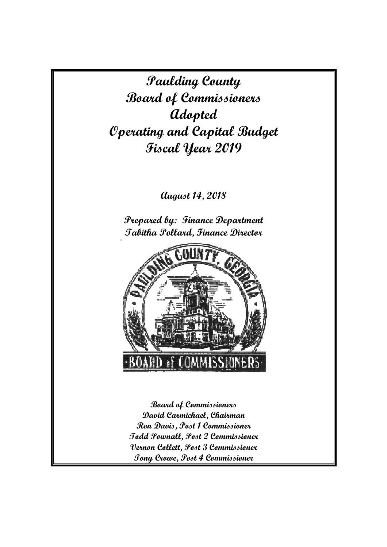**Paulding County Board of Commissioners Adopted Operating and Capital Budget Fiscal Year 2019** 

## **August 14, 2018**

**Prepared by: Finance Department Tabitha Pollard, Finance Director** 



**Board of Commissioners David Carmichael, Chairman Ron Davis, Post 1 Commissioner Todd Pownall, Post 2 Commissioner Vernon Collett, Post 3 Commissioner Tony Crowe, Post 4 Commissioner**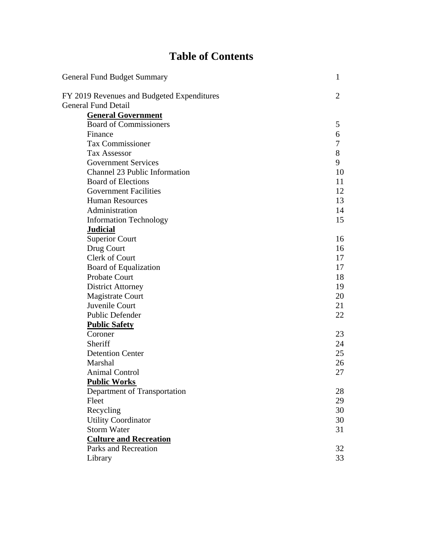# **Table of Contents**

| General Fund Budget Summary                | 1              |
|--------------------------------------------|----------------|
| FY 2019 Revenues and Budgeted Expenditures | $\overline{2}$ |
| <b>General Fund Detail</b>                 |                |
| <b>General Government</b>                  |                |
| <b>Board of Commissioners</b>              | 5              |
| Finance                                    | 6              |
| Tax Commissioner                           | 7              |
| <b>Tax Assessor</b>                        | 8              |
| <b>Government Services</b>                 | 9              |
| Channel 23 Public Information              | 10             |
| <b>Board of Elections</b>                  | 11             |
| <b>Government Facilities</b>               | 12             |
| <b>Human Resources</b>                     | 13             |
| Administration                             | 14             |
| <b>Information Technology</b>              | 15             |
| <b>Judicial</b>                            |                |
| <b>Superior Court</b>                      | 16             |
| Drug Court                                 | 16             |
| Clerk of Court                             | 17             |
| <b>Board of Equalization</b>               | 17             |
| Probate Court                              | 18             |
| <b>District Attorney</b>                   | 19             |
| <b>Magistrate Court</b>                    | 20             |
| Juvenile Court                             | 21             |
| Public Defender                            | 22             |
| <b>Public Safety</b>                       |                |
| Coroner                                    | 23             |
| Sheriff                                    | 24             |
| <b>Detention Center</b>                    | 25             |
| Marshal                                    | 26             |
| <b>Animal Control</b>                      | 27             |
| <b>Public Works</b>                        |                |
| Department of Transportation               | 28             |
| Fleet                                      | 29             |
| Recycling                                  | 30             |
| <b>Utility Coordinator</b>                 | 30             |
| <b>Storm Water</b>                         | 31             |
| <b>Culture and Recreation</b>              |                |
| Parks and Recreation                       | 32             |
| Library                                    | 33             |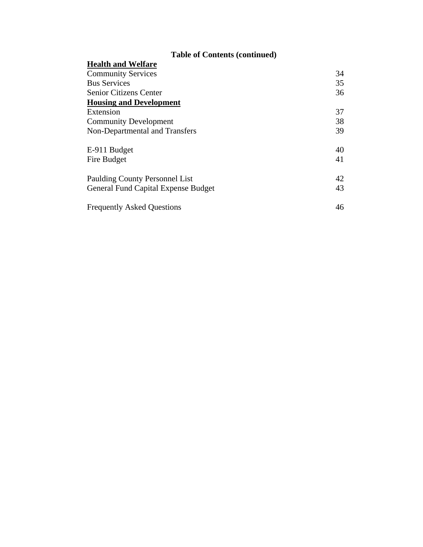## **Table of Contents (continued)**

| <b>Health and Welfare</b>                  |    |
|--------------------------------------------|----|
| <b>Community Services</b>                  | 34 |
| <b>Bus Services</b>                        | 35 |
| <b>Senior Citizens Center</b>              | 36 |
| <b>Housing and Development</b>             |    |
| Extension                                  | 37 |
| <b>Community Development</b>               | 38 |
| Non-Departmental and Transfers             | 39 |
| E-911 Budget                               | 40 |
| Fire Budget                                | 41 |
| Paulding County Personnel List             | 42 |
| <b>General Fund Capital Expense Budget</b> | 43 |
| <b>Frequently Asked Questions</b>          | 46 |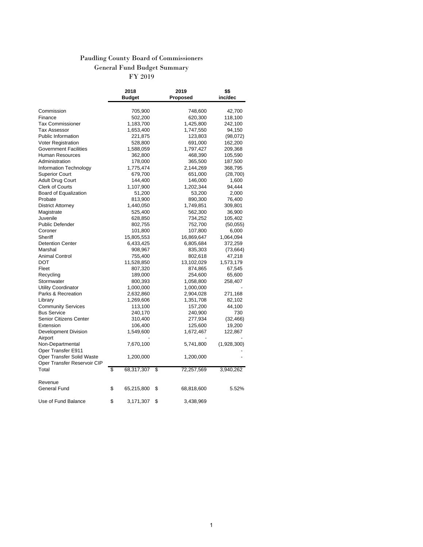### Paudling County Board of Commissioners General Fund Budget Summary FY 2019

|                                                          | 2018             | 2019             | \$\$        |
|----------------------------------------------------------|------------------|------------------|-------------|
|                                                          | <b>Budget</b>    | Proposed         | inc/dec     |
|                                                          |                  |                  |             |
| Commission                                               | 705,900          | 748,600          | 42,700      |
| Finance                                                  | 502,200          | 620,300          | 118,100     |
| <b>Tax Commissioner</b>                                  | 1,183,700        | 1,425,800        | 242,100     |
| Tax Assessor                                             | 1,653,400        | 1,747,550        | 94,150      |
| <b>Public Information</b>                                | 221,875          | 123,803          | (98,072)    |
| <b>Voter Registration</b>                                | 528,800          | 691,000          | 162,200     |
| <b>Government Facilities</b>                             | 1,588,059        | 1,797,427        | 209,368     |
| Human Resources                                          | 362,800          | 468,390          | 105,590     |
| Administration                                           | 178,000          | 365,500          | 187,500     |
| Information Technology                                   | 1,775,474        | 2,144,269        | 368,795     |
| <b>Superior Court</b>                                    | 679,700          | 651,000          | (28,700)    |
| <b>Adult Drug Court</b>                                  | 144,400          | 146,000          | 1,600       |
| <b>Clerk of Courts</b>                                   | 1,107,900        | 1,202,344        | 94,444      |
| Board of Equalization                                    | 51,200           | 53,200           | 2,000       |
| Probate                                                  | 813,900          | 890,300          | 76,400      |
| District Attorney                                        | 1,440,050        | 1,749,851        | 309,801     |
| Magistrate                                               | 525,400          | 562,300          | 36,900      |
| Juvenile                                                 | 628,850          | 734,252          | 105,402     |
| <b>Public Defender</b>                                   | 802,755          | 752,700          | (50,055)    |
| Coroner                                                  | 101,800          | 107,800          | 6,000       |
| Sheriff                                                  | 15,805,553       | 16,869,647       | 1,064,094   |
| <b>Detention Center</b>                                  | 6,433,425        | 6,805,684        | 372,259     |
| Marshal                                                  | 908,967          | 835,303          | (73, 664)   |
| <b>Animal Control</b>                                    | 755,400          | 802,618          | 47,218      |
| DOT                                                      | 11,528,850       | 13,102,029       | 1,573,179   |
| Fleet                                                    | 807,320          | 874,865          | 67,545      |
| Recycling                                                | 189,000          | 254,600          | 65,600      |
| Stormwater                                               | 800,393          | 1,058,800        | 258,407     |
| <b>Utility Coordinator</b>                               | 1,000,000        | 1,000,000        |             |
| Parks & Recreation                                       | 2,632,860        | 2,904,028        | 271,168     |
| Library                                                  | 1,269,606        | 1,351,708        | 82,102      |
| <b>Community Services</b>                                | 113,100          | 157,200          | 44,100      |
| <b>Bus Service</b>                                       | 240,170          | 240,900          | 730         |
| Senior Citizens Center                                   | 310,400          | 277,934          | (32, 466)   |
| Extension                                                | 106,400          | 125,600          | 19,200      |
| Development Division<br>Airport                          | 1,549,600        | 1,672,467        | 122,867     |
| Non-Departmental<br>Oper Transfer E911                   | 7,670,100        | 5,741,800        | (1,928,300) |
| Oper Transfer Solid Waste<br>Oper Transfer Reservoir CIP | 1,200,000        | 1,200,000        |             |
| Total                                                    | \$<br>68,317,307 | \$<br>72,257,569 | 3,940,262   |
|                                                          |                  |                  |             |
| Revenue                                                  |                  |                  |             |
| General Fund                                             | \$<br>65,215,800 | \$<br>68,818,600 | 5.52%       |
| Use of Fund Balance                                      | \$<br>3,171,307  | \$<br>3,438,969  |             |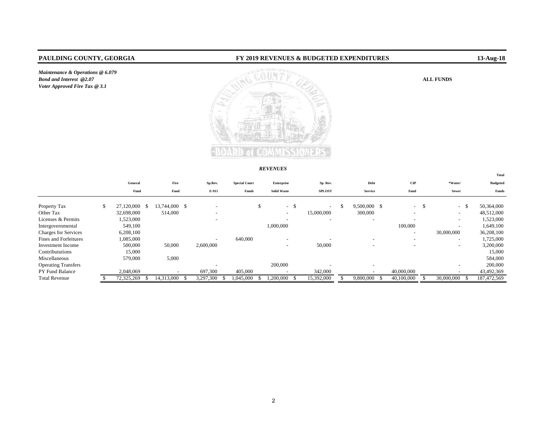*Maintenance & Operations @ 6.079 Bond and Interest* @2.07 *Voter Approved Fire Tax @ 3.1*

### **PAULDING COUNTY, GEORGIA FY 2019 REVENUES & BUDGETED EXPENDITURES 13-Aug-18**

### ALL FUNDS



#### *REVENUES*

|                             |                  |    |                          |                          |                      |                          |     |                          |                          |                          |     |                          | Total           |
|-----------------------------|------------------|----|--------------------------|--------------------------|----------------------|--------------------------|-----|--------------------------|--------------------------|--------------------------|-----|--------------------------|-----------------|
|                             | General          |    | Fire                     | Sp.Rev.                  | <b>Special Court</b> | Enterprise               |     | Sp. Rev.                 | Debt                     | $\mathbf{CIP}$           |     | *Water/                  | <b>Budgeted</b> |
|                             | Fund             |    | Fund                     | E-911                    | Funds                | <b>Solid Waste</b>       |     | <b>SPLOST</b>            | <b>Service</b>           | Fund                     |     | Sewer                    | Funds           |
| Property Tax                | \$<br>27,120,000 | -8 | 13,744,000 \$            |                          |                      | \$<br>$\sim$             | -\$ | $\overline{\phantom{a}}$ | 9,500,000 \$             | $\sim$                   | -\$ | -S<br>$\sim$             | 50,364,000      |
| Other Tax                   | 32,698,000       |    | 514,000                  | $\overline{\phantom{a}}$ |                      | $\overline{\phantom{a}}$ |     | 15,000,000               | 300,000                  | $\overline{\phantom{0}}$ |     | $\overline{\phantom{0}}$ | 48,512,000      |
| Licenses & Permits          | 1,523,000        |    |                          | $\overline{\phantom{0}}$ |                      |                          |     |                          | $\overline{\phantom{a}}$ | $\overline{\phantom{a}}$ |     | $\sim$                   | 1,523,000       |
| Intergovernmental           | 549,100          |    |                          |                          |                      | 1,000,000                |     |                          |                          | 100,000                  |     | $\overline{\phantom{0}}$ | 1,649,100       |
| <b>Charges for Services</b> | 6,208,100        |    |                          |                          |                      |                          |     |                          |                          | -                        |     | 30,000,000               | 36,208,100      |
| Fines and Forfeitures       | 1,085,000        |    |                          | $\overline{\phantom{0}}$ | 640,000              | $\overline{\phantom{a}}$ |     |                          | $\overline{\phantom{0}}$ | $\overline{\phantom{a}}$ |     | $\overline{\phantom{0}}$ | 1,725,000       |
| Investment Income           | 500,000          |    | 50,000                   | 2,600,000                |                      | $\overline{\phantom{a}}$ |     | 50,000                   |                          | ۰                        |     | $-$                      | 3,200,000       |
| Contribututions             | 15,000           |    |                          |                          |                      |                          |     |                          |                          |                          |     |                          | 15,000          |
| Miscellaneous               | 579,000          |    | 5,000                    |                          |                      |                          |     |                          |                          |                          |     |                          | 584,000         |
| <b>Operating Transfers</b>  |                  |    |                          | $\overline{\phantom{a}}$ |                      | 200,000                  |     |                          | $\overline{\phantom{a}}$ |                          |     | $\overline{\phantom{a}}$ | 200,000         |
| PY Fund Balance             | 2,048,069        |    | $\overline{\phantom{a}}$ | 697,300                  | 405,000              |                          |     | 342,000                  |                          | 40,000,000               |     |                          | 43,492,369      |
| <b>Total Revenue</b>        | 72,325,269       |    | 14,313,000               | 3,297,300                | .045.000             | 1.200.000                |     | 15,392,000               | 9,800,000                | 40,100,000               |     | 30,000,000               | 187,472,569     |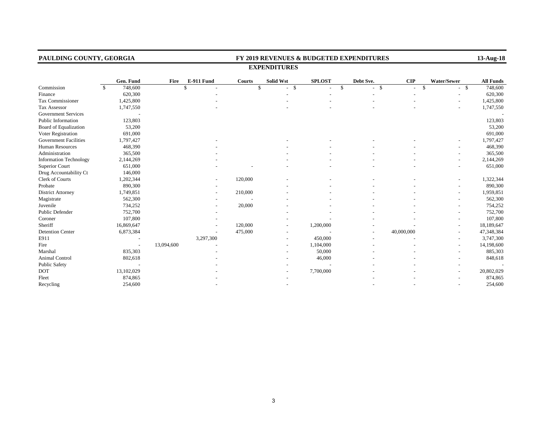| PAULDING COUNTY, GEORGIA      |              |            |            |            |               |                         |                    | FY 2019 REVENUES & BUDGETED EXPENDITURES |                    |             | 13-Aug-18        |
|-------------------------------|--------------|------------|------------|------------|---------------|-------------------------|--------------------|------------------------------------------|--------------------|-------------|------------------|
|                               |              |            |            |            |               | <b>EXPENDITURES</b>     |                    |                                          |                    |             |                  |
|                               |              | Gen. Fund  | Fire       | E-911 Fund | <b>Courts</b> | <b>Solid Wst</b>        | <b>SPLOST</b>      | Debt Sve.                                | $\mathbf{CIP}$     | Water/Sewer | <b>All Funds</b> |
| Commission                    | $\mathbb{S}$ | 748,600    |            | \$         |               | $-$ \$<br>$\mathcal{S}$ | $\mathbf{\hat{S}}$ | $\mathbf{s}$                             | $\mathbf{\hat{S}}$ | $-$ \$      | 748,600          |
| Finance                       |              | 620,300    |            |            |               |                         |                    |                                          |                    |             | 620,300          |
| Tax Commissioner              |              | 1,425,800  |            |            |               |                         |                    |                                          |                    |             | 1,425,800        |
| Tax Assessor                  |              | 1,747,550  |            |            |               |                         |                    |                                          |                    |             | 1,747,550        |
| <b>Government Services</b>    |              |            |            |            |               |                         |                    |                                          |                    |             |                  |
| Public Information            |              | 123,803    |            |            |               |                         |                    |                                          |                    |             | 123,803          |
| <b>Board of Equalization</b>  |              | 53,200     |            |            |               |                         |                    |                                          |                    |             | 53,200           |
| Voter Registration            |              | 691,000    |            |            |               |                         |                    |                                          |                    |             | 691,000          |
| <b>Government Facilities</b>  |              | 1,797,427  |            |            |               |                         |                    |                                          |                    |             | 1,797,427        |
| Human Resources               |              | 468,390    |            |            |               |                         |                    |                                          |                    |             | 468,390          |
| Administration                |              | 365,500    |            |            |               |                         |                    |                                          |                    |             | 365,500          |
| <b>Information Technology</b> |              | 2,144,269  |            |            |               |                         |                    |                                          |                    |             | 2,144,269        |
| <b>Superior Court</b>         |              | 651,000    |            |            |               |                         |                    |                                          |                    |             | 651,000          |
| Drug Accountability Ct        |              | 146,000    |            |            |               |                         |                    |                                          |                    |             |                  |
| Clerk of Courts               |              | 1,202,344  |            |            | 120,000       |                         |                    |                                          |                    |             | 1,322,344        |
| Probate                       |              | 890,300    |            |            |               |                         |                    |                                          |                    |             | 890,300          |
| <b>District Attorney</b>      |              | 1,749,851  |            |            | 210,000       |                         |                    |                                          |                    |             | 1,959,851        |
| Magistrate                    |              | 562,300    |            |            |               |                         |                    |                                          |                    |             | 562,300          |
| Juvenile                      |              | 734,252    |            |            | 20,000        |                         |                    |                                          |                    |             | 754,252          |
| Public Defender               |              | 752,700    |            |            |               |                         |                    |                                          |                    |             | 752,700          |
| Coroner                       |              | 107,800    |            |            |               |                         |                    |                                          |                    |             | 107,800          |
| Sheriff                       |              | 16,869,647 |            |            | 120,000       |                         | 1,200,000          |                                          |                    |             | 18,189,647       |
| <b>Detention Center</b>       |              | 6,873,384  |            |            | 475,000       |                         |                    |                                          | 40,000,000         |             | 47,348,384       |
| E911                          |              |            |            | 3,297,300  |               |                         | 450,000            |                                          |                    |             | 3,747,300        |
| Fire                          |              |            | 13,094,600 |            |               |                         | 1,104,000          |                                          |                    |             | 14,198,600       |
| Marshal                       |              | 835,303    |            |            |               |                         | 50,000             |                                          |                    |             | 885,303          |
| Animal Control                |              | 802,618    |            |            |               |                         | 46,000             |                                          |                    |             | 848,618          |
| <b>Public Safety</b>          |              |            |            |            |               |                         |                    |                                          |                    |             |                  |
| <b>DOT</b>                    |              | 13,102,029 |            |            |               |                         | 7,700,000          |                                          |                    |             | 20,802,029       |
| Fleet                         |              | 874,865    |            |            |               |                         |                    |                                          |                    |             | 874,865          |
| Recycling                     |              | 254,600    |            |            |               |                         |                    |                                          |                    |             | 254,600          |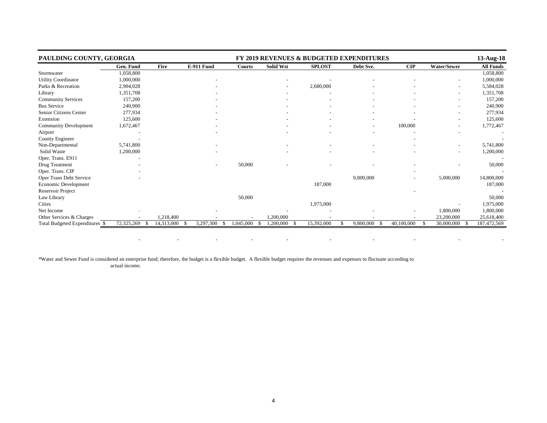| PAULDING COUNTY, GEORGIA       |                  |            |                   |                  |                  |               | <b>FY 2019 REVENUES &amp; BUDGETED EXPENDITURES</b> |                          |                          | 13-Aug-18        |
|--------------------------------|------------------|------------|-------------------|------------------|------------------|---------------|-----------------------------------------------------|--------------------------|--------------------------|------------------|
|                                | Gen. Fund        | Fire       | <b>E-911 Fund</b> | Courts           | <b>Solid Wst</b> | <b>SPLOST</b> | Debt Sve.                                           | CIP                      | Water/Sewer              | <b>All Funds</b> |
| Stormwater                     | 1,058,800        |            |                   |                  |                  |               |                                                     |                          |                          | 1,058,800        |
| <b>Utility Coordinator</b>     | 1,000,000        |            |                   |                  |                  |               |                                                     |                          |                          | 1,000,000        |
| Parks & Recreation             | 2,904,028        |            |                   |                  |                  | 2,680,000     |                                                     |                          | $\overline{\phantom{a}}$ | 5,584,028        |
| Library                        | 1,351,708        |            |                   |                  |                  |               |                                                     |                          | $\overline{\phantom{a}}$ | 1,351,708        |
| <b>Community Services</b>      | 157,200          |            |                   |                  |                  |               |                                                     |                          |                          | 157,200          |
| <b>Bus Service</b>             | 240,900          |            |                   |                  |                  |               |                                                     |                          | $\overline{\phantom{a}}$ | 240,900          |
| Senior Citizens Center         | 277,934          |            |                   |                  |                  |               |                                                     |                          | $\overline{\phantom{a}}$ | 277,934          |
| Extension                      | 125,600          |            |                   |                  |                  |               |                                                     |                          |                          | 125,600          |
| <b>Community Development</b>   | 1,672,467        |            |                   |                  |                  |               |                                                     | 100,000                  | $\overline{\phantom{a}}$ | 1,772,467        |
| Airport                        |                  |            |                   |                  |                  |               |                                                     |                          |                          |                  |
| County Engineer                |                  |            |                   |                  |                  |               |                                                     |                          |                          |                  |
| Non-Departmental               | 5,741,800        |            |                   |                  |                  |               |                                                     |                          |                          | 5,741,800        |
| Solid Waste                    | 1,200,000        |            |                   |                  |                  |               |                                                     |                          |                          | 1,200,000        |
| Oper. Trans. E911              |                  |            |                   |                  |                  |               |                                                     |                          |                          |                  |
| Drug Treatment                 |                  |            |                   | 50,000           |                  |               |                                                     |                          |                          | 50,000           |
| Oper. Trans. CIP               |                  |            |                   |                  |                  |               |                                                     |                          |                          |                  |
| Oper Trans Debt Service        |                  |            |                   |                  |                  |               | 9,800,000                                           | $\overline{\phantom{a}}$ | 5,000,000                | 14,800,000       |
| Economic Development           |                  |            |                   |                  |                  | 187,000       |                                                     |                          |                          | 187,000          |
| Reservoir Project              |                  |            |                   |                  |                  |               |                                                     |                          |                          |                  |
| Law Library                    |                  |            |                   | 50,000           |                  |               |                                                     |                          |                          | 50,000           |
| <b>Cities</b>                  |                  |            |                   |                  |                  | 1,975,000     |                                                     |                          |                          | 1,975,000        |
| Net Income                     |                  |            |                   |                  |                  |               |                                                     |                          | 1,800,000                | 1,800,000        |
| Other Services & Charges       |                  | 1,218,400  |                   |                  | 1,200,000        |               |                                                     |                          | 23,200,000               | 25,618,400       |
| Total Budgeted Expenditures \$ | 72,325,269<br>-S | 14,313,000 | 3,297,300         | 1,045,000<br>-\$ | 1,200,000<br>£.  | 15,392,000    | 9,800,000                                           | 40,100,000               | 30,000,000<br>-\$        | 187,472,569      |

- - - - - - - - -

\*Water and Sewer Fund is considered an enterprise fund; therefore, the budget is a flexible budget. A flexible budget requires the revenues and expenses to fluctuate according to actual income.

e de la construcción de la construcción de la construcción de la construcción de la construcción de la constru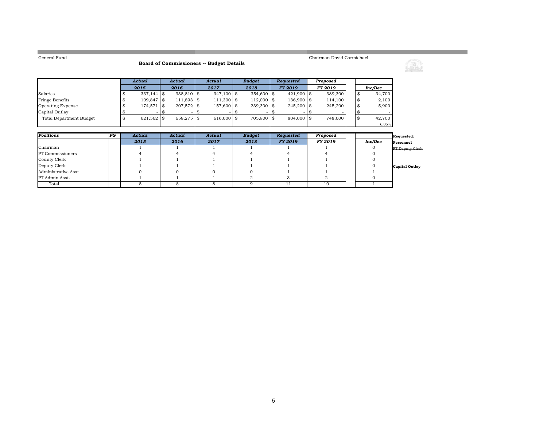**Common** 

### **Board of Commissioners -- Budget Details**

Chairman David Carmichael



<u> 1989 - Johann Barnett, mars eta indonez erroman erroman erroman erroman erroman erroman erroman erroman errom</u>

|                          | Actual        | Actual       | Actual       | <b>Budget</b> | Reauested      | Proposed       |  |         |
|--------------------------|---------------|--------------|--------------|---------------|----------------|----------------|--|---------|
|                          | 2015          | 2016         | 2017         | 2018          | <b>FY 2019</b> | <b>FY 2019</b> |  | Inc/Dec |
| Salaries                 | $337.144$ \\$ | $338.810$ \$ | $347.100$ \$ | 354,600 \$    | $421,900$ \$   | 389,300        |  | 34,700  |
| Fringe Benefits          | $109.847$ \$  | $111,893$ \$ | $111,300$ \$ | $112,000$ \$  | $136.900$ \$   | 114,100        |  | 2,100   |
| <b>Operating Expense</b> | 174.571 \$    | $207.572$ \$ | 157,600 \$   | $239.300$ \$  | $245.200$ \$   | 245,200        |  | 5,900   |
| Capital Outlay           |               |              |              |               |                |                |  |         |
| Total Department Budget  | $621.562$ \$  | $658.275$ \$ | $616,000$ \$ | 705.900 \$    | 804,000 \$     | 748,600        |  | 42,700  |
|                          |               |              |              |               |                |                |  | 6.05%   |

| Positions               | P G | Actual | Actual | Actual | <b>Budget</b> | Requested      | Proposed |         | Requested:      |
|-------------------------|-----|--------|--------|--------|---------------|----------------|----------|---------|-----------------|
|                         |     | 2015   | 2016   | 2017   | 2018          | <b>FY 2019</b> | FY 2019  | Inc/Dec | Personnel       |
| Chairman                |     |        |        |        |               |                |          |         | FT Deputy Clerk |
| <b>PT</b> Commissioners |     |        |        |        |               |                |          |         |                 |
| County Clerk            |     |        |        |        |               |                |          |         |                 |
| Deputy Clerk            |     |        |        |        |               |                |          |         | Capital Outlay  |
| Administrative Asst     |     |        |        |        |               |                |          |         |                 |
| PT Admin Asst.          |     |        |        |        |               |                |          |         |                 |
| Total                   |     |        |        |        |               |                | 10       |         |                 |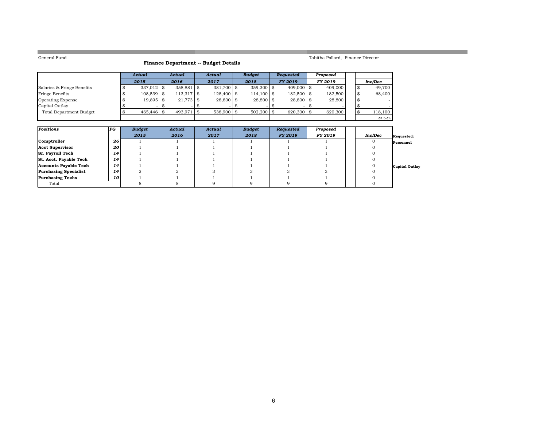**The Story** 

### **Finance Department -- Budget Details**

### *Actual Actual Actual Budget Requested Proposed 2015 2016 2017 2018 FY 2019 FY 2019 Inc/Dec* Salaries & Fringe Benefits 337,012 \$ 358,881 \$ 381,700 \$ 359,300 \$ 409,000 \$ 409,000 \$ 49,700 \$ 49,700 \$ 49,700<br>
Fringe Benefits \$ 108,539 \$ 113,317 \$ 128,400 \$ 114,100 \$ 182,500 \$ 182,500 \$ 68,400 Fringe Benefits 108,539 \$ 113,317 \$ 128,400 \$ 114,100 \$ 182,500 \$ 182,500 \$ 68,400 \$ Operating Expense 19,895 \$ 21,773 \$ 28,800 \$ 28,800 \$ 28,800 \$ 28,800 \$ - \$ Capital Outlay | \$ - | \$ - | \$ - | \$ - | \$ - | \$ -Total Department Budget  $\boxed{\$\quad 465,446 \$ 493,971 \$ 538,900 \$ 502,200 \$ 620,300 \$ 620,300 \$ 118,100$ 23.52%

Tabitha Pollard, Finance Director

| Positions                    | PG | <b>Budget</b> | Actual | Actual | <b>Budget</b> | Requested      | Proposed |         |                       |
|------------------------------|----|---------------|--------|--------|---------------|----------------|----------|---------|-----------------------|
|                              |    | 2015          | 2016   | 2017   | 2018          | <b>FY 2019</b> | FY 2019  | Inc/Dec | Requested:            |
| Comptroller                  | 26 |               |        |        |               |                |          |         | Personnel             |
| Acct Supervisor              | 20 |               |        |        |               |                |          |         |                       |
| <b>Sr. Payroll Tech</b>      | 14 |               |        |        |               |                |          |         |                       |
| St. Acct. Payable Tech       | 14 |               |        |        |               |                |          |         |                       |
| Accounts Payable Tech        | 14 |               |        |        |               |                |          |         | <b>Capital Outlay</b> |
| <b>Purchasing Specialist</b> | 14 |               |        |        |               |                |          |         |                       |
| <b>Purchasing Techs</b>      | 10 |               |        |        |               |                |          |         |                       |
| Total                        |    |               |        |        |               |                |          |         |                       |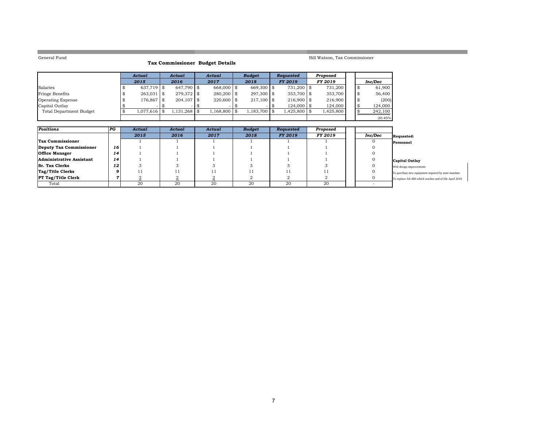**College** 

### **Tax Commissioner Budget Details**

### Bill Watson, Tax Commissioner

|                                | Actual        | Actual          | Actual           | <b>Budget</b> |      | <b>Requested</b> | Proposed  |  |         |
|--------------------------------|---------------|-----------------|------------------|---------------|------|------------------|-----------|--|---------|
|                                | 2015          | 2016            | 2017             | 2018          |      | <b>FY 2019</b>   | FY 2019   |  | Inc/Dec |
| Salaries                       | $637.719$ \\$ | 647.790 \$      | 668,000 \$       | 669,300 \$    |      | $731.200$ \\$    | 731.200   |  | 61.900  |
| Fringe Benefits                | $263,031$ \$  | $279,372$ \$    | $280.200$ \\$    | $297.300$ \$  |      | $353.700$ \\$    | 353.700   |  | 56,400  |
| <b>Operating Expense</b>       | 176,867 \$    | $204.107$ \$    | $220.600$ \ \$   | $217,100$ \$  |      | $216.900$ \$     | 216,900   |  | (200)   |
| Capital Outlay                 |               |                 |                  |               |      | $124.000$ \\$    | 124.000   |  | 124,000 |
| <b>Total Department Budget</b> | 1.077.616 \$  | $.131.268$   \$ | $1.168,800$ \ \$ | 1.183.700     | . \$ | 1,425,800 \$     | 1,425,800 |  | 242,100 |
|                                |               |                 |                  |               |      |                  |           |  | 20.45%  |

| Positions                 | PG | Actual | Actual | Actual | <b>Budget</b> | Requested      | Proposed |         |                                                        |
|---------------------------|----|--------|--------|--------|---------------|----------------|----------|---------|--------------------------------------------------------|
|                           |    | 2015   | 2016   | 2017   | 2018          | <b>FY 2019</b> | FY 2019  | Inc/Dec | Requested:                                             |
| Tax Commissioner          |    |        |        |        |               |                |          |         | Personnel                                              |
| Deputy Tax Commissioner   | 16 |        |        |        |               |                |          |         |                                                        |
| <b>Office Manager</b>     | 14 |        |        |        |               |                |          |         |                                                        |
| Administrative Assistant  | 14 |        |        |        |               |                |          |         | Capital Outlay                                         |
| <b>Sr. Tax Clerks</b>     | 12 |        |        |        |               |                |          |         | Web design improvements                                |
| Tag/Title Clerks          | 9  |        |        |        |               |                |          |         | To purchase new equipment required by state mandate    |
| <b>PT Tag/Title Clerk</b> |    |        |        |        |               |                |          |         | To replace AS-400 which reaches end of life April 2019 |
| Total                     |    | 20     | 20     | 20     | 20            | 20             | 20       |         |                                                        |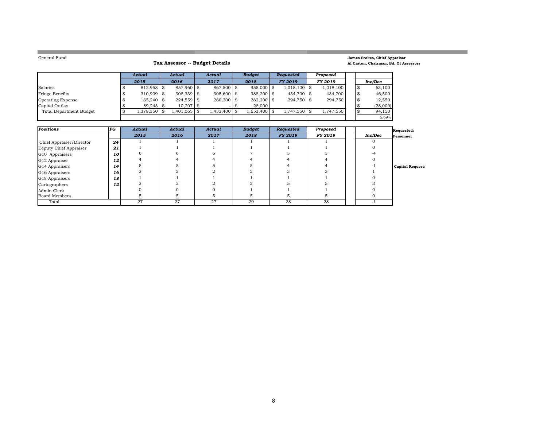**The Co** 

### **Tax Assessor -- Budget Details**

### **James Stokes, Chief Appraiser Al Craton, Chairman, Bd. Of Assessors**

<u> Tanzania de la conte</u>

<u> 1989 - Johann Barnett, mars et al. 1989 - Anna ann an t-</u>

|                                | Actual       | Actual       | Actual       | <b>Budget</b> | <b>Requested</b> | Proposed       |  |          |
|--------------------------------|--------------|--------------|--------------|---------------|------------------|----------------|--|----------|
|                                | 2015         | 2016         | 2017         | 2018          | <b>FY 2019</b>   | <b>FY 2019</b> |  | Inc/Dec  |
| Salaries                       | $812.958$ \$ | 857.960 \$   | $867.500$ \$ | $955,000$ \$  | $1,018,100$ \$   | 1.018.100      |  | 63,100   |
| Fringe Benefits                | $310.909$ \$ | $308.339$ \$ | $305,600$ \$ | 388,200 \$    | 434,700 \$       | 434,700        |  | 46,500   |
| <b>Operating Expense</b>       | $165.240$ \$ | $224.559$ \$ | $260.300$ \$ | $282.200$ \$  | $294.750$ \$     | 294.750        |  | 12,550   |
| Capital Outlay                 | $89.243$ \$  | $10.207$ \$  | $\sim$       | 28,000        |                  |                |  | (28,000) |
| <b>Total Department Budget</b> | 1,378,350 \$ | 1.401.065 \$ | 1.433.400 \$ | $.653,400$ \$ | 1,747,550 \$     | 1,747,550      |  | 94,150   |
|                                |              |              |              |               |                  |                |  | 5.69%    |

| <b>Positions</b>         | PG | Actual | Actual | Actual | <b>Budget</b> | Requested      | Proposed |         | Requested:              |
|--------------------------|----|--------|--------|--------|---------------|----------------|----------|---------|-------------------------|
|                          |    | 2015   | 2016   | 2017   | 2018          | <b>FY 2019</b> | FY 2019  | Inc/Dec | Personnel               |
| Chief Appraiser/Director | 24 |        |        |        |               |                |          |         |                         |
| Deputy Chief Appraiser   | 21 |        |        |        |               |                |          |         |                         |
| G10 Appraisers           | 10 |        |        |        |               |                |          |         |                         |
| G12 Appraiser            | 12 |        |        |        |               |                |          |         |                         |
| G14 Appraisers           | 14 |        |        |        |               |                |          |         | <b>Capital Request:</b> |
| G16 Appraisers           | 16 |        |        |        |               |                |          |         |                         |
| G18 Appraisers           | 18 |        |        |        |               |                |          |         |                         |
| Cartographers            | 12 |        |        |        |               |                |          |         |                         |
| Admin Clerk              |    |        |        |        |               |                |          |         |                         |
| Board Members            |    |        |        |        |               |                |          |         |                         |
| Total                    |    | 27     | 27     | 27     | 29            | 28             | 28       | $\sim$  |                         |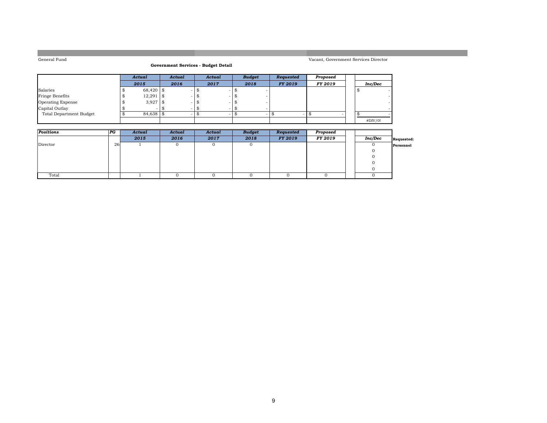### **Government Services - Budget Detail**

#### Vacant, Government Services Director

|                         | Actual      | Actual | Actual | <b>Budget</b> | Requested      | Proposed |         |  |
|-------------------------|-------------|--------|--------|---------------|----------------|----------|---------|--|
|                         | 2015        | 2016   | 2017   | 2018          | <b>FY 2019</b> | FY 2019  | Inc/Dec |  |
| Salaries                | 68,420 \$   |        |        |               |                |          |         |  |
| Fringe Benefits         | $12,291$ \$ |        |        |               |                |          |         |  |
| Operating Expense       | $3,927$ \$  |        |        |               |                |          |         |  |
| Capital Outlay          |             |        |        |               |                |          |         |  |
| Total Department Budget | $84,638$ \$ |        |        |               |                |          |         |  |
|                         |             |        |        |               |                |          | #DIV/0! |  |

| Positions | P G | Actual | Actual | Actual | <b>Budget</b> | Requested      | Proposed |         |            |
|-----------|-----|--------|--------|--------|---------------|----------------|----------|---------|------------|
|           |     | 2015   | 2016   | 2017   | 2018          | <b>FY 2019</b> | FY 2019  | Inc/Dec | Requested: |
| Director  | 26  |        |        |        |               |                |          |         | Personnel  |
|           |     |        |        |        |               |                |          |         |            |
|           |     |        |        |        |               |                |          |         |            |
|           |     |        |        |        |               |                |          |         |            |
|           |     |        |        |        |               |                |          |         |            |
| Total     |     |        |        |        |               |                |          |         |            |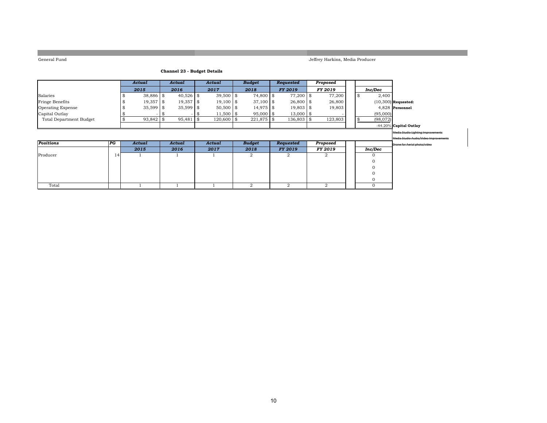Jeffrey Harkins, Media Producer

### **Channel 23 - Budget Details**

|                                |                            | Actual      | Actual            |      | Actual      |      | <b>Budget</b> | Requested      | Proposed       |                |                                           |
|--------------------------------|----------------------------|-------------|-------------------|------|-------------|------|---------------|----------------|----------------|----------------|-------------------------------------------|
|                                |                            |             |                   |      |             |      |               |                |                |                |                                           |
|                                |                            | 2015        | 2016              |      | 2017        |      | 2018          | FY 2019        | FY 2019        | Inc/Dec        |                                           |
| Salaries                       |                            | $38,886$ \$ | $40,526$ \$       |      | $39,500$ \$ |      | 74,800 \$     | $77,200$ \$    | 77,200         | \$<br>2,400    |                                           |
| Fringe Benefits                |                            | $19,357$ \$ | 19,357            | \$   | $19,100$ \$ |      | $37,100$ \$   | $26,800$ \$    | 26,800         |                | $(10,300)$ Requested:                     |
| <b>Operating Expense</b>       |                            | 35,599      | \$<br>$35,599$ \$ |      | $50,500$ \$ |      | $14,975$ \$   | $19,803$ \$    | 19,803         |                | 4,828 Personnel                           |
| Capital Outlay                 |                            |             |                   | - \$ | $11,500$ \$ |      | $95,000$ \$   | $13,000$ \$    |                | (95,000)       |                                           |
| <b>Total Department Budget</b> |                            | 93,842      | \$<br>95,481      | \$   | 120,600     | l \$ | 221,875 \$    | 136,803 \$     | 123,803        | \$<br>(98,072) |                                           |
|                                |                            |             |                   |      |             |      |               |                |                |                | $-44.20\%$ Capital Outlay                 |
|                                |                            |             |                   |      |             |      |               |                |                |                | <b>Media Studio Lighting Improvements</b> |
|                                |                            |             |                   |      |             |      |               |                |                |                | Media Studio Audio/Video Improvements     |
| Positions                      | $ _{\textcolor{red}{P} G}$ | Actual      | Actual            |      | Actual      |      | <b>Budget</b> | Requested      | Proposed       |                | Drone for Aerial photo/video              |
|                                |                            | 2015        | 2016              |      | 2017        |      | 2018          | <b>FY 2019</b> | FY 2019        | <b>Inc/Dec</b> |                                           |
| Producer                       | 14                         |             |                   |      |             |      | 2             | 2              | $\overline{2}$ |                |                                           |
|                                |                            |             |                   |      |             |      |               |                |                |                |                                           |
|                                |                            |             |                   |      |             |      |               |                |                |                |                                           |
|                                |                            |             |                   |      |             |      |               |                |                |                |                                           |
|                                |                            |             |                   |      |             |      |               |                |                |                |                                           |
| Total                          |                            |             |                   |      |             |      | 2             | 2              | $\overline{2}$ | $\Omega$       |                                           |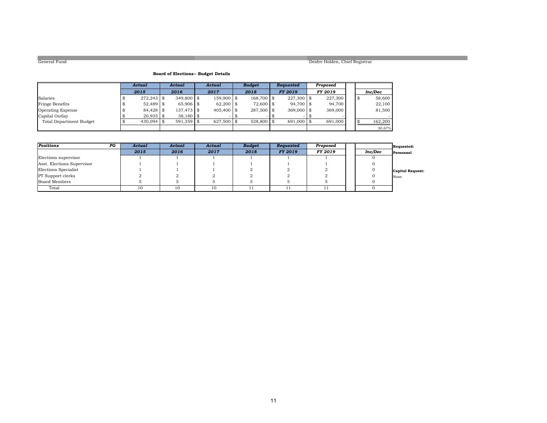### Deidre Holden, Chief Registrar

### **Board of Elections-- Budget Details**

|                                | Actual          | Actual       | Actual        | <b>Budget</b> | Reauested      | Proposed       |  |         |
|--------------------------------|-----------------|--------------|---------------|---------------|----------------|----------------|--|---------|
|                                | 2015            | 2016         | 2017          | 2018          | <b>FY 2019</b> | <b>FY 2019</b> |  | Inc/Dec |
| Salaries                       | $272.243$ \\$   | $349.800$ \$ | $159.900$ \$  | 168,700 \$    | $227.300$ \$   | 227,300        |  | 58,600  |
| Fringe Benefits                | 52,489 \$       | $65.906$ \$  | $62,200$ \$   | 72,600 \$     | $94.700$ \$    | 94.700         |  | 22,100  |
| Operating Expense              | $84.428$ \ \ \$ | $137.473$ \$ | $405.400$ \$  | $287.500$ \$  | $369,000$ \\$  | 369,000        |  | 81,500  |
| Capital Outlay                 | $20.935$ \$     | $38.180$ \$  |               | $\sim$        |                |                |  |         |
| <b>Total Department Budget</b> | $430,094$ \$    | $591.359$ \$ | $627.500$ \\$ | $528.800$ \\$ | $691,000$ \\$  | 691,000        |  | 162,200 |
|                                |                 |              |               |               |                |                |  | 30.67%  |

| Positions<br>$_{PG}$       | Actual | Actual | Actual | <b>Budget</b> | Requested      | Proposed       |         | Requested:       |
|----------------------------|--------|--------|--------|---------------|----------------|----------------|---------|------------------|
|                            | 2015   | 2016   | 2017   | 2018          | <b>FY 2019</b> | <b>FY 2019</b> | Inc/Dec | Personnel        |
| Elections supervisor       |        |        |        |               |                |                |         |                  |
| Asst. Elections Supervisor |        |        |        |               |                |                |         |                  |
| Elections Specialist       |        |        |        |               |                |                |         | Capital Request: |
| <b>PT</b> Support clerks   |        |        |        |               |                |                |         | None             |
| Board Members              |        |        |        |               |                |                |         |                  |
| Total                      | 10     |        | 10     |               |                |                |         |                  |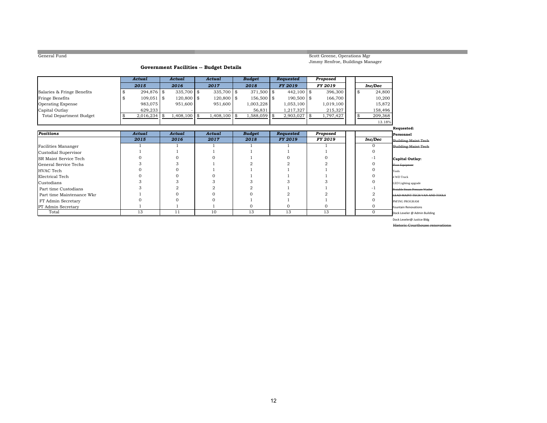Scott Greene, Operations Mgr Jimmy Renfroe, Buildings Manager

### **Government Facilities -- Budget Details**

|                                | Actual     |          | Actual         | Actual         | <b>Budget</b> | Requested       | Proposed        |               |                                |
|--------------------------------|------------|----------|----------------|----------------|---------------|-----------------|-----------------|---------------|--------------------------------|
|                                | 2015       |          | 2016           | 2017           | 2018          | FY 2019         | FY 2019         | Inc/Dec       |                                |
| Salaries & Fringe Benefits     | 294,876 \$ |          | $335,700$ \$   | 335,700 \$     | 371,500 \$    | $442,100$ \$    | 396,300         | 24,800<br>\$  |                                |
| Fringe Benefits                | 109,051    | <b>S</b> | $120,800$ \$   | 120,800 \$     | $156,500$ \$  | $190,500$ \$    | 166,700         | 10,200        |                                |
| Operating Expense              | 983,075    |          | 951,600        | 951,600        | 1,003,228     | 1,053,100       | 1,019,100       | 15,872        |                                |
| Capital Outlay                 | 629,233    |          |                |                | 56,831        | 1,217,327       | 215,327         | 158,496       |                                |
| <b>Total Department Budget</b> | 2,016,234  |          | $1,408,100$ \$ | $1,408,100$ \$ | 1,588,059     | \$<br>2,903,027 | \$<br>1,797,427 | \$<br>209,368 |                                |
|                                |            |          |                |                |               |                 |                 | 13.18%        |                                |
|                                |            |          |                |                |               |                 |                 |               | Requested:                     |
| <b>Positions</b>               | Actual     |          | Actual         | Actual         | <b>Budget</b> | Requested       | Proposed        |               | Personnel                      |
|                                | 2015       |          | 2016           | 2017           | 2018          | <b>FY 2019</b>  | FY 2019         | Inc/Dec       | Building Maint Tech            |
| Facilities Mananger            |            |          |                |                |               |                 |                 |               | <b>Building Maint Tech</b>     |
| Custodial Supervisor           |            |          |                |                |               |                 |                 |               |                                |
| <b>SR Maint Service Tech</b>   |            |          |                |                |               |                 |                 |               | Capital Outlay:                |
| General Service Techs          |            |          |                |                |               |                 |                 |               | <b>Floor Equipment</b>         |
| HVAC Tech                      |            |          |                |                |               |                 |                 |               | Tools                          |
| Electrical Tech                |            |          |                |                |               |                 |                 |               | 4 WD Truck                     |
| Custodians                     |            |          |                |                |               |                 |                 |               | LED Lighting upgrade           |
| Part time Custodians           |            |          |                |                |               |                 |                 |               | Protable Steam Pressure Washer |
| Part time Maintenance Wkr      |            |          |                |                |               |                 |                 |               | LEAD MAINT TECH VAN AND TOOLS  |
| FT Admin Secretary             |            |          |                |                |               |                 |                 |               | PM'ING PROGRAM                 |
| PT Admin Secretary             |            |          |                |                | 0             | 0               |                 |               | <b>Fountain Renovations</b>    |
| Total                          | 13         |          | 11             | 10             | 13            | 13              | 13              | $\Omega$      | Dock Leveler @ Admin Building  |

Dock Leveler@ Justice Bldg

Historic Courth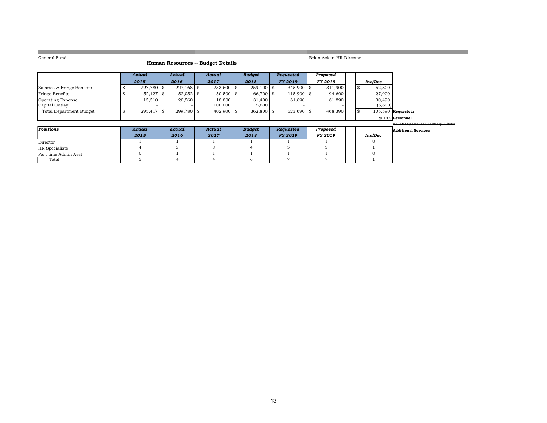**College** 

### **Human Resources -- Budget Details**

Brian Acker, HR Director

| Actual | Actual | Actual | <b>Budget</b> | <b>Requested</b> | Proposed |         |
|--------|--------|--------|---------------|------------------|----------|---------|
| 2015   | 2016   | 2017   | 2018          | <b>FY 2019</b>   | FY 2019  | Inc/Dec |
|        |        |        |               |                  |          |         |

| Salaries & Fringe Benefits | 227.780 \\$  |             | $233.600$   \$ | $259.100$ \$ | $345.900$ \$  | 311.900 |  | 52,800  |                      |                                          |
|----------------------------|--------------|-------------|----------------|--------------|---------------|---------|--|---------|----------------------|------------------------------------------|
| Fringe Benefits            | $52.127$ \$  | $52.052$ \$ | $50.500$ \\$   | 66.700 \$    | $115.900$ \\$ | 94.600  |  | 27,900  |                      |                                          |
| Operating Expense          | 15.510       | 20,560      | 18,800         | 31,400       | 61.890        | 61.890  |  | 30.490  |                      |                                          |
| Capital Outlay             |              |             | 100,000        | 5.600        |               |         |  | (5.600) |                      |                                          |
| Total Department Budget    | $295.417$ \$ | 299.780 \$  | $402.900$ \$   | $362.800$ \$ | $523.690$ \$  | 468.390 |  |         | $105.590$ Requested: |                                          |
|                            |              |             |                |              |               |         |  |         | $29.10\%$ Personnel  |                                          |
|                            |              |             |                |              |               |         |  |         |                      | <b>FT. HR Specialist (January 1 hire</b> |

| Positions            | Actual | Actual | Actual | <b>Budget</b> | Requested      | Proposed |         | Additional Services |
|----------------------|--------|--------|--------|---------------|----------------|----------|---------|---------------------|
|                      | 2015   | 2016   | 2017   | 2018          | <b>FY 2019</b> | FY 2019  | Inc/Dec |                     |
| Director             |        |        |        |               |                |          |         |                     |
| HR Specialists       |        |        |        |               |                |          |         |                     |
| Part time Admin Asst |        |        |        |               |                |          |         |                     |
| Total                |        |        |        |               |                |          |         |                     |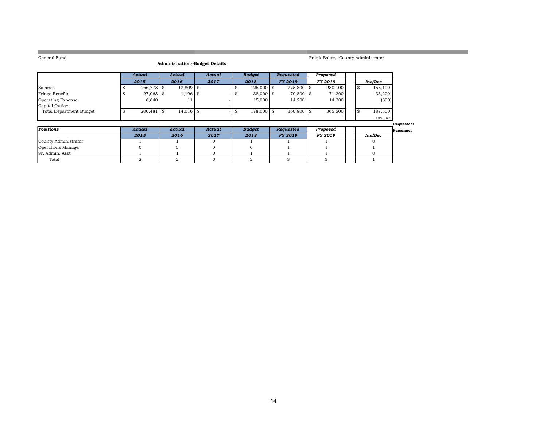**College** 

### Frank Baker, County Administrator

a sa kacamatan ing Kabupatèn Kabupatèn Kabupatèn Kabupatèn Kabupatèn Kabupatèn Kabupatèn Kabupatèn Kabupatèn K

### **Administration--Budget Details**

|                                | Actual       | Actual      | Actual | <b>Budget</b> | Reauested      | Proposed       |  |         |
|--------------------------------|--------------|-------------|--------|---------------|----------------|----------------|--|---------|
|                                | 2015         | 2016        | 2017   | 2018          | <b>FY 2019</b> | <b>FY 2019</b> |  | Inc/Dec |
| Salaries                       | $166,778$ \$ | $12,809$ \$ |        | $125,000$ \$  | 275,800 \$     | 280,100        |  | 155,100 |
| Fringe Benefits                | 27,063 \$    | $1,196$ \$  |        | $38,000$ \$   | 70,800 \$      | 71.200         |  | 33,200  |
| Operating Expense              | 6.640        | $\pm$       |        | 15,000        | 14.200         | 14.200         |  | (800)   |
| Capital Outlay                 |              |             |        |               |                |                |  |         |
| <b>Total Department Budget</b> | 200.481      | $14.016$ \$ |        | 178,000       | $360.800$ \ \$ | 365,500        |  | 187,500 |
|                                |              |             |        |               |                |                |  | 105.34% |

|                      |        |        |        |               |                |          |         | Requested: |
|----------------------|--------|--------|--------|---------------|----------------|----------|---------|------------|
| Positions            | Actual | Actual | Actual | <b>Budget</b> | Requested      | Proposed |         | Personnel  |
|                      | 2015   | 2016   | 2017   | 2018          | <b>FY 2019</b> | FY 2019  | Inc/Dec |            |
| County Administrator |        |        |        |               |                |          |         |            |
| Operations Manager   |        |        |        |               |                |          |         |            |
| Sr. Admin. Asst      |        |        |        |               |                |          |         |            |
| Total                |        |        |        |               |                |          |         |            |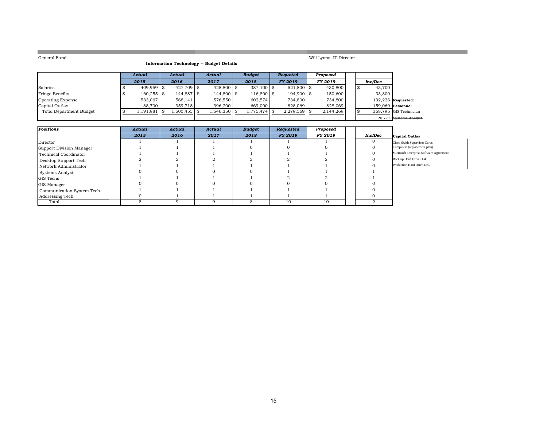**COL** 

### **Information Technology -- Budget Details**

Will Lyons, IT Director

|                          | Actual       | Actual       | Actual       | <b>Budget</b> | <b>Requeted</b> | Proposed       |  |         |                        |
|--------------------------|--------------|--------------|--------------|---------------|-----------------|----------------|--|---------|------------------------|
|                          | 2015         | 2016         | 2017         | 2018          | FY 2019         | <b>FY 2019</b> |  | Inc/Dec |                        |
| Salaries                 | 409.959 \$   | $427.709$ \$ | $428.800$ \$ | $387.100$ \\$ | 521,800 \$      | 430,800        |  | 43,700  |                        |
| Fringe Benefits          | $160,255$ \$ | 144,887 \$   | 144,800 \$   | $116,800$ \$  | $194,900$ \$    | 150,600        |  | 33,800  |                        |
| <b>Operating Expense</b> | 533.067      | 568.141      | 576.550      | 602.574       | 734,800         | 734,800        |  |         | $132,226$ Requested:   |
| Capital Outlay           | 88.700       | 359.718      | 396.200      | 669,000       | 828,069         | 828,069        |  |         | $159.069$ Personnel    |
| Total Department Budget  | 1,191,981    | 1,500,455 \$ | 1,546,350    | ,775,474      | $2,279,569$ \$  | 2,144,269      |  |         | 368.795 GIS Technician |
|                          |              |              |              |               |                 |                |  |         | 20.77% Systems Analyst |

| Positions                 | Actual | Actual | Actual | <b>Budget</b> | Requested      | Proposed |         |                                         |
|---------------------------|--------|--------|--------|---------------|----------------|----------|---------|-----------------------------------------|
|                           | 2015   | 2016   | 2017   | 2018          | <b>FY 2019</b> | FY 2019  | Inc/Dec | Capital Outlay                          |
| Director                  |        |        |        |               |                |          |         | Cisco Swith Supervisor Cards            |
| Support Division Manager  |        |        |        |               |                |          |         | Computers (replacement plan)            |
| Technical Coordinator     |        |        |        |               |                |          |         | Microsoft Enterprise Software Agreement |
| Desktop Support Tech      |        |        |        |               |                |          |         | Back up Hard Drive Disk                 |
| Network Administrator     |        |        |        |               |                |          |         | Production Hard Drive Disk              |
| Systems Analyst           |        |        |        |               |                |          |         |                                         |
| <b>GIS Techs</b>          |        |        |        |               |                |          |         |                                         |
| <b>GIS Manager</b>        |        |        |        |               |                |          |         |                                         |
| Communication System Tech |        |        |        |               |                |          |         |                                         |
| Addressing Tech           |        |        |        |               |                |          |         |                                         |
| Total                     |        |        |        |               | 10             | 10       |         |                                         |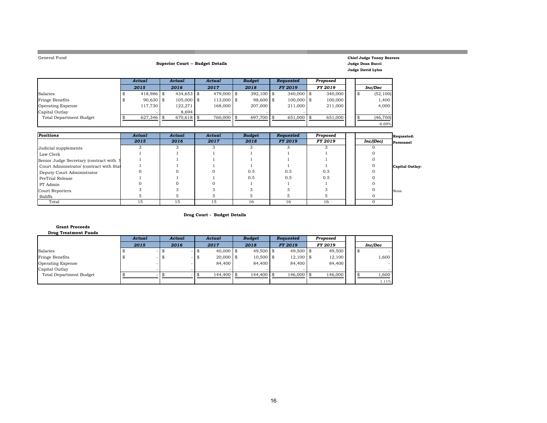| General Fund                            |               |             | <b>Superior Court -- Budget Details</b> |              |               |                  |                |    | <b>Chief Judge Tonny Beavers</b><br>Judge Dean Bucci<br><b>Judge David Lyles</b> |                 |
|-----------------------------------------|---------------|-------------|-----------------------------------------|--------------|---------------|------------------|----------------|----|----------------------------------------------------------------------------------|-----------------|
|                                         | <b>Actual</b> |             | <b>Actual</b>                           | Actual       | <b>Budget</b> | <b>Requested</b> | Proposed       |    |                                                                                  |                 |
|                                         | 2015          |             | 2016                                    | 2017         | 2018          | <b>FY 2019</b>   | <b>FY 2019</b> |    | Inc/Dec                                                                          |                 |
| Salaries                                |               | 418,986 \$  | $434,653$ \$                            | 479,000 \$   | $392,100$ \$  | 340,000 \$       | 340,000        | \$ | (52, 100)                                                                        |                 |
| Fringe Benefits                         |               | $90,630$ \$ | $105,000$ \$                            | $113,000$ \$ | 98,600 \$     | $100,000$ \$     | 100,000        |    | 1,400                                                                            |                 |
| Operating Expense                       |               | 117,730     | 122,271                                 | 168,000      | 207,000       | 211,000          | 211,000        |    | 4,000                                                                            |                 |
| Capital Outlay                          |               |             | 8,694                                   |              |               |                  |                |    |                                                                                  |                 |
| <b>Total Department Budget</b>          | \$            | 627,346 \$  | 670,618 \$                              | 760,000      | \$<br>697,700 | \$<br>651,000    | \$<br>651,000  | \$ | (46, 700)                                                                        |                 |
|                                         |               |             |                                         |              |               |                  |                |    | $-6.69%$                                                                         |                 |
|                                         |               |             |                                         |              |               |                  |                |    |                                                                                  |                 |
| Positions                               | <b>Actual</b> |             | <b>Actual</b>                           | Actual       | <b>Budget</b> | Requested        | Proposed       |    |                                                                                  | Requested:      |
|                                         | 2015          |             | 2016                                    | 2017         | 2018          | <b>FY 2019</b>   | FY 2019        |    | Inc/(Dec)                                                                        | Personnel       |
| Judicial supplements                    | 3             |             | 3                                       | 3            | 3             | 3                | 3              |    |                                                                                  |                 |
| Law Clerk                               |               |             |                                         |              |               |                  |                |    |                                                                                  |                 |
| Senior Judge Secretary (contract with   |               |             |                                         |              |               |                  |                |    |                                                                                  |                 |
| Court Administrator (contract with Stat |               |             |                                         |              |               |                  |                |    |                                                                                  | Capital Outlay: |
| Deputy Court Administrator              |               |             |                                         |              | 0.5           | 0.5              | 0.5            |    |                                                                                  |                 |
| PreTrial Release                        |               |             |                                         |              | 0.5           | 0.5              | 0.5            |    |                                                                                  |                 |
| PT Admin                                |               |             |                                         |              |               |                  |                |    |                                                                                  |                 |
| Court Reporters                         |               |             |                                         | 3            | 3             | 3                |                |    |                                                                                  | None            |
| <b>Baliffs</b>                          | 5             |             | 5                                       | 5            | 5             | 5                | 5              |    |                                                                                  |                 |
| Total                                   | 15            |             | 15                                      | 15           | 16            | 16               | 16             |    | $\overline{0}$                                                                   |                 |

and the control of the control of the control of the control of the control of

**Drug Court - Budget Details**

| <b>Drug Treatment Funds</b>    |        |        |                     |               |             |          |         |
|--------------------------------|--------|--------|---------------------|---------------|-------------|----------|---------|
|                                | Actual | Actual | Actual              | <b>Budget</b> | Reauested   | Proposed |         |
|                                | 2015   | 2016   | 2017                | 2018          | FY 2019     | FY 2019  | Inc/Dec |
| Salaries                       |        |        | $40,000$ \$         | $49,500$ \$   | $49,500$ \$ | 49,500   | - ND    |
| <b>Fringe Benefits</b>         |        |        | $20,000$ \$<br>- \$ | $10,500$ \$   | $12,100$ \$ | 12,100   | 1,600   |
| <b>Operating Expense</b>       |        |        | 84,400              | 84,400        | 84,400      | 84,400   |         |
| Capital Outlay                 |        |        |                     |               |             |          |         |
| <b>Total Department Budget</b> |        |        | 144,400             | $144,400$ \$  | 146,000     | 146,000  | 1,600   |
|                                |        |        |                     |               |             |          | 1.11%   |

### **Grant Proceeds**

**Contract**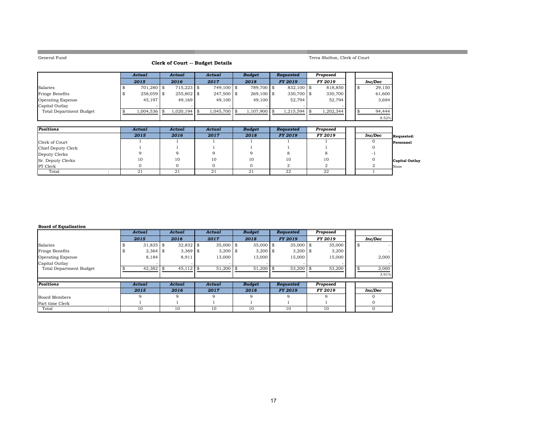**Contract** 

### **Clerk of Court -- Budget Details**

### Treva Shelton, Clerk of Court

and the control of the control of the control of the control of the control of the control of

|                                | Actual       | Actual |                | Actual       | <b>Budget</b> | <b>Requested</b> | Proposed       |  |         |
|--------------------------------|--------------|--------|----------------|--------------|---------------|------------------|----------------|--|---------|
|                                | 2015         |        | 2016           | 2017         | 2018          | <b>FY 2019</b>   | <b>FY 2019</b> |  | Inc/Dec |
| Salaries                       | $701.280$ \$ |        | $715.223$ \$   | 749.100 \$   | 789.700 \$    | $832.100$ \\$    | 818,850        |  | 29.150  |
| Fringe Benefits                | 258,059 \$   |        | 255,802 \$     | 247,500 \$   | $269.100$ \$  | $330.700$ \\$    | 330,700        |  | 61,600  |
| <b>Operating Expense</b>       | 45,197       |        | 49.169         | 49.100       | 49,100        | 52.794           | 52.794         |  | 3,694   |
| Capital Outlay                 |              |        |                |              |               |                  |                |  |         |
| <b>Total Department Budget</b> | 1,004,536    |        | $1,020,194$ \$ | 1.045.700 \$ | 1,107,900 \$  | $1.215.594$ \\$  | 1,202,344      |  | 94,444  |
|                                |              |        |                |              |               |                  |                |  | 8.52%   |

| Positions          | Actual | Actual | Actual | <b>Budget</b> | Requested      | Proposed       |         |                       |
|--------------------|--------|--------|--------|---------------|----------------|----------------|---------|-----------------------|
|                    | 2015   | 2016   | 2017   | 2018          | <b>FY 2019</b> | <b>FY 2019</b> | Inc/Dec | Requested:            |
| Clerk of Court     |        |        |        |               |                |                |         | Personnel             |
| Chief Deputy Clerk |        |        |        |               |                |                |         |                       |
| Deputy Clerks      |        |        |        |               |                |                |         |                       |
| Sr. Deputy Clerks  | 10     | 10     | 10     | 10            | 10             | 10             |         | <b>Capital Outlay</b> |
| <b>PT</b> Clerk    |        |        |        |               |                |                |         | None                  |
| Total              | 21     | 21     | -21    | 21            | 22             | 22             |         |                       |

#### **Board of Equalization**

|                                | Actual        | Actual        | Actual      | <b>Budget</b> | Requested      | Proposed |    |         |
|--------------------------------|---------------|---------------|-------------|---------------|----------------|----------|----|---------|
|                                | 2015          | 2016          | 2017        | 2018          | <b>FY 2019</b> | FY 2019  |    | Inc/Dec |
| Salaries                       | $31,835$ \$   | $32,832$ \$   | $35,000$ \$ | $35,000$ \$   | $35,000$ \$    | 35,000   | \$ |         |
| Fringe Benefits                | $2,364$ \$    | $3,369$ \$    | $3,200$ \$  | $3,200$ \$    | $3,200$ \$     | 3,200    |    |         |
| <b>Operating Expense</b>       | 8,184         | 8,911         | 13,000      | 13,000        | 15,000         | 15,000   |    | 2,000   |
| Capital Outlay                 |               |               |             |               |                |          |    |         |
| <b>Total Department Budget</b> | 42,382        | 45,112        | 51,200      | 51,200        | 53,200         | 53,200   | \$ | 2,000   |
|                                |               |               |             |               |                |          |    | 3.91%   |
| Positions                      | <b>Actual</b> | <b>Actual</b> | Actual      | <b>Budget</b> | Requested      | Proposed |    |         |
|                                | 2015          | 2016          | 2017        | 2018          | <b>FY 2019</b> | FY 2019  |    | Inc/Dec |
| Board Members                  | Q             | 9             |             | q             |                |          |    |         |
| Part time Clerk                |               |               |             |               |                |          |    |         |
| Total                          | 10            | 10            | 10          | 10            | 10             | 10       |    |         |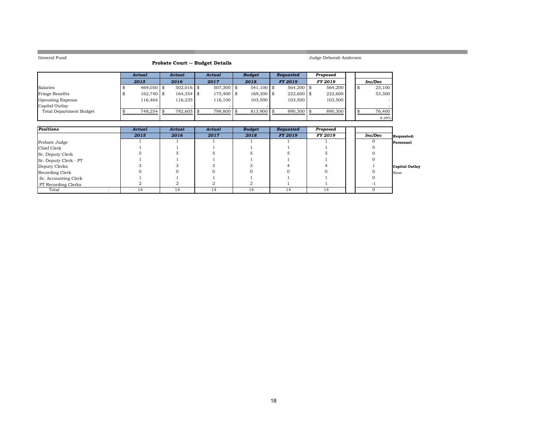a sa kacamatan ing Kabupatèn Kabupatèn Kabupatèn Kabupatèn Kabupatèn Kabupatèn Kabupatèn Kabupatèn Kabupatèn K

**College** 

## Judge Deborah Andersen

a sa kacamatan ing Kabupatèn Kabupatèn Kabupatèn Kabupatèn Kabupatèn Kabupatèn Kabupatèn Kabupatèn Kabupatèn K

| Probate Court -- Budget Details |  |  |  |
|---------------------------------|--|--|--|
|---------------------------------|--|--|--|

|                          | Actual       | Actual |              | Actual       | <b>Budget</b> | <b>Requested</b> | Proposed |  |         |
|--------------------------|--------------|--------|--------------|--------------|---------------|------------------|----------|--|---------|
|                          | 2015         |        | 2016         | 2017         | 2018          | FY 2019          | FY 2019  |  | Inc/Dec |
| Salaries                 | $469.050$ \$ |        | $502.016$ \$ | $507.300$ \$ | $541.100$ \$  | $564.200$ \\$    | 564.200  |  | 23,100  |
| Fringe Benefits          | $162,740$ \$ |        | 164,354 \$   | $175,400$ \$ | $169.300$ \\$ | $222.600$ \ \$   | 222,600  |  | 53,300  |
| <b>Operating Expense</b> | 116.464      |        | 116.235      | 116,100      | 103,500       | 103.500          | 103,500  |  |         |
| Capital Outlay           |              |        |              |              |               |                  |          |  |         |
| Total Department Budget  | 748.254 \$   |        | 782.605 \$   | 798,800 \$   | $813.900$ \$  | $890.300$ \\$    | 890,300  |  | 76.400  |
|                          |              |        |              |              |               |                  |          |  | 9.39%   |

| <b>Positions</b>           | Actual | Actual | Actual | <b>Budget</b> | Requested      | Proposed |         |                       |
|----------------------------|--------|--------|--------|---------------|----------------|----------|---------|-----------------------|
|                            | 2015   | 2016   | 2017   | 2018          | <b>FY 2019</b> | FY 2019  | Inc/Dec | Requested:            |
| Probate Judge              |        |        |        |               |                |          |         | Personnel             |
| Chief Clerk                |        |        |        |               |                |          |         |                       |
| Sr. Deputy Clerk           |        |        |        |               |                |          |         |                       |
| Sr. Deputy Clerk - PT      |        |        |        |               |                |          |         |                       |
| Deputy Clerks              |        |        |        |               |                |          |         | <b>Capital Outlay</b> |
| Recording Clerk            |        |        |        |               |                |          |         | None                  |
| Sr. Accounting Clerk       |        |        |        |               |                |          |         |                       |
| <b>PT</b> Recording Clerks |        |        |        |               |                |          |         |                       |
| Total                      | 14     | 14     | 14     | 14            | 14             | 14       |         |                       |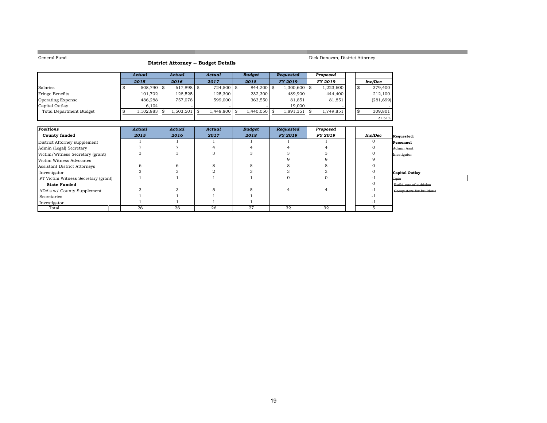**COL** 

### **District Attorney -- Budget Details**

### Dick Donovan, District Attorney

a sa kacamatan ing Kabupatèn Kabupatèn Kabupatèn Kabupatèn Kabupatèn Kabupatèn Kabupatèn Kabupatèn Kabupatèn K

|                                | Actual     | Actual         | Actual       | <b>Budget</b> | <b>Requested</b> | Proposed  |  |            |
|--------------------------------|------------|----------------|--------------|---------------|------------------|-----------|--|------------|
|                                | 2015       | 2016           | 2017         | 2018          | <b>FY 2019</b>   | FY 2019   |  | Inc/Dec    |
| Salaries                       | 508.790 \$ | $617.898$ \$   | $724.500$ \$ | $844.200$ \\$ | $.300,600$ \$    | 1,223,600 |  | 379,400    |
| <b>Fringe Benefits</b>         | 101.702    | 128,525        | 125,300      | 232,300       | 489,900          | 444,400   |  | 212,100    |
| <b>Operating Expense</b>       | 486.288    | 757.078        | 599,000      | 363.550       | 81,851           | 81,851    |  | (281, 699) |
| Capital Outlay                 | 6.104      |                |              |               | 19,000           |           |  |            |
| <b>Total Department Budget</b> | 1,102,883  | 1.503.501   \$ | 1.448.800 \$ | 1.440.050 \$  | 1,891,351        | 1,749,851 |  | 309,801    |
|                                |            |                |              |               |                  |           |  | 21.51%     |

| Positions                                  | Actual | Actual | Actual | <b>Budget</b> | Requested      | Proposed |         |                        |
|--------------------------------------------|--------|--------|--------|---------------|----------------|----------|---------|------------------------|
| <b>County funded</b>                       | 2015   | 2016   | 2017   | 2018          | <b>FY 2019</b> | FY 2019  | Inc/Dec | Requested:             |
| District Attorney supplement               |        |        |        |               |                |          |         | Personnel              |
| Admin (Legal) Secretary                    |        |        |        |               |                |          |         | Admin Asst             |
| Victim/Witness Secretary (grant)           |        |        |        |               |                |          |         | Invstigator            |
| Victim Witness Advocates                   |        |        |        |               |                |          |         |                        |
| Assistant District Attorneys               | h      | h      |        |               |                |          |         |                        |
| Investigator                               |        |        |        |               |                |          |         | Capital Outlay         |
| <b>PT</b> Victim Witness Secretary (grant) |        |        |        |               |                |          |         | Copier                 |
| <b>State Funded</b>                        |        |        |        |               |                |          |         | Build our of cubicles  |
| ADA's w/ County Supplement                 |        |        |        |               |                |          |         | Computers for buildout |
| Secretaries                                |        |        |        |               |                |          |         |                        |
| Investigator                               |        |        |        |               |                |          |         |                        |
| Total                                      | 26     | 26     | 26     | 27            | 32             | 32       |         |                        |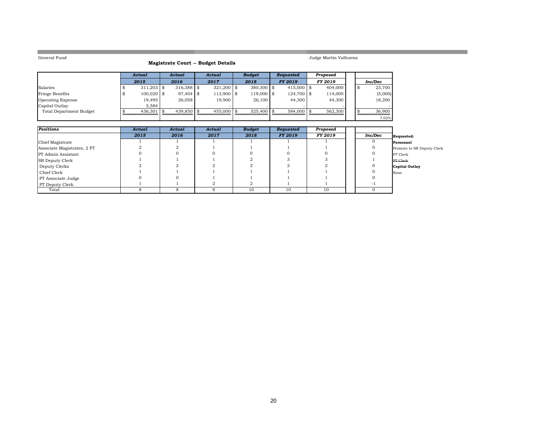**College** 

### **Magistrate Court -- Budget Details**

Judge Martin Valbuena

a sa kacamatan ing Kabupatèn Kabupatèn Kabupatèn Kabupatèn Kabupatèn Kabupatèn Kabupatèn Kabupatèn Kabupatèn K

|                                | Actual        | Actual           | Actual       | <b>Budget</b>  | <b>Requested</b> | Proposed       |  |         |
|--------------------------------|---------------|------------------|--------------|----------------|------------------|----------------|--|---------|
|                                | 2015          | 2016             | 2017         | 2018           | <b>FY 2019</b>   | <b>FY 2019</b> |  | Inc/Dec |
| Salaries                       | $311.203$ \\$ | $316.388$ \ \ \$ | $321.200$ \$ | $380.300$ \\$  | 415,000 \$       | 404,000        |  | 23,700  |
| Fringe Benefits                | $100,020$ \$  | $97.404$ \$      | 113,900 \$   | $119,000$ \\$  | $124.700$ \\$    | 114,000        |  | (5,000) |
| <b>Operating Expense</b>       | 19,495        | 26,058           | 19.900       | 26,100         | 44.300           | 44,300         |  | 18,200  |
| Capital Outlay                 | 5.584         |                  |              |                |                  |                |  |         |
| <b>Total Department Budget</b> | $436,301$ \$  | $439.850$ \\$    | 455,000 \$   | $525.400$ \ \$ | $584,000$ \$     | 562,300        |  | 36,900  |
|                                |               |                  |              |                |                  |                |  | 7.02%   |

| Positions                   | Actual | Actual | Actual | <b>Budget</b> | Requested | Proposed |         |                            |
|-----------------------------|--------|--------|--------|---------------|-----------|----------|---------|----------------------------|
|                             | 2015   | 2016   | 2017   | 2018          | FY 2019   | FY 2019  | Inc/Dec | Requested:                 |
| Chief Magistrate            |        |        |        |               |           |          |         | Personnel                  |
| Associate Magistrates, 2 FT |        |        |        |               |           |          |         | Promote to SR Deputy Clerk |
| <b>PT</b> Admin Assistant   |        |        |        |               |           |          |         | FT Clerk                   |
| <b>SR Deputy Clerk</b>      |        |        |        |               |           |          |         | <b>PT</b> Clerk            |
| Deputy Clerks               |        |        |        |               |           |          |         | Capital Outlay             |
| Chief Clerk                 |        |        |        |               |           |          |         | None                       |
| PT Associate Judge          |        |        |        |               |           |          |         |                            |
| <b>PT</b> Deputy Clerk      |        |        |        |               |           |          | $-1$    |                            |
| Total                       |        |        |        | 10            | 10        | 10       |         |                            |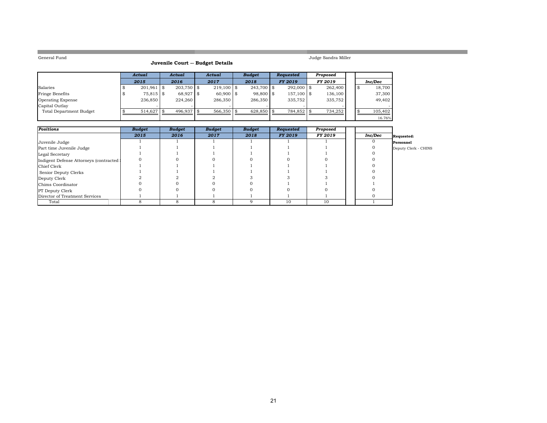**College** 

### **Juvenile Court -- Budget Details**

Judge Sandra Miller

16.76%

|                                | Actual       | Actual       | Actual        | <b>Budget</b> | Requested      | Proposed       |  |         |
|--------------------------------|--------------|--------------|---------------|---------------|----------------|----------------|--|---------|
|                                | 2015         | 2016         | 2017          | 2018          | <b>FY 2019</b> | <b>FY 2019</b> |  | Inc/Dec |
| Salaries                       | $201,961$ \$ | $203.750$ \$ | $219.100$ \\$ | $243.700$ \$  | $292.000$ \$   | 262,400        |  | 18,700  |
| Fringe Benefits                | 75,815 \$    | 68,927 \$    | $60.900$ \$   | 98,800 \$     | 157,100 \$     | 136,100        |  | 37,300  |
| <b>Operating Expense</b>       | 236,850      | 224,260      | 286,350       | 286,350       | 335,752        | 335,752        |  | 49,402  |
| Capital Outlay                 |              |              |               |               |                |                |  |         |
| <b>Total Department Budget</b> | 514,627      | 496,937      | $566,350$ \$  | $628,850$ \\$ | 784,852 \$     | 734,252        |  | 105,402 |
|                                |              |              |               |               |                |                |  | 16.76%  |

| <b>Positions</b>                        | <b>Budget</b> | <b>Budget</b> | <b>Budget</b> | <b>Budget</b> | Requested      | Proposed |         |                      |
|-----------------------------------------|---------------|---------------|---------------|---------------|----------------|----------|---------|----------------------|
|                                         | 2015          | 2016          | 2017          | 2018          | <b>FY 2019</b> | FY 2019  | Inc/Dec | <b>Requested:</b>    |
| Juvenile Judge                          |               |               |               |               |                |          |         | Personnel            |
| Part time Juvenile Judge                |               |               |               |               |                |          |         | Deputy Clerk - CHINS |
| Legal Secretary                         |               |               |               |               |                |          |         |                      |
| Indigent Defense Attorneys (contracted) |               |               |               |               |                |          |         |                      |
| Chief Clerk                             |               |               |               |               |                |          |         |                      |
| Senior Deputy Clerks                    |               |               |               |               |                |          |         |                      |
| Deputy Clerk                            |               |               |               |               |                |          |         |                      |
| Chims Coordinator                       |               |               |               |               |                |          |         |                      |
| <b>PT</b> Deputy Clerk                  |               |               |               |               |                |          |         |                      |
| Director of Treatment Services          |               |               |               |               |                |          |         |                      |
| Total                                   |               |               |               |               | 10             | 10       |         |                      |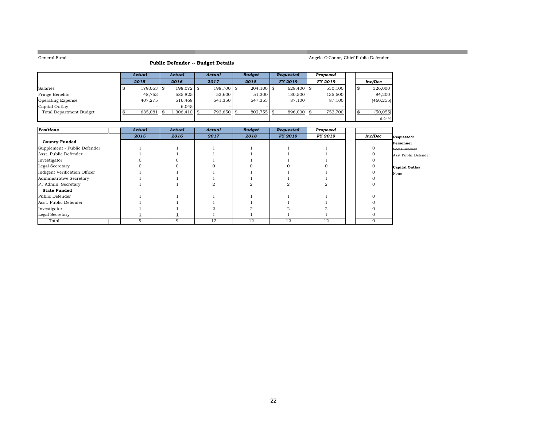**COL** 

### **Public Defender -- Budget Details**

### Angela O'Conor, Chief Public Defender

a sa kacamatan ing Kabupatèn Kabupatèn Kabupatèn Kabupatèn Kabupatèn Kabupatèn Kabupatèn Kabupatèn Kabupatèn K

|                          | Actual        | Actual       | Actual        | <b>Budget</b> | <b>Requested</b> | Proposed |  |            |
|--------------------------|---------------|--------------|---------------|---------------|------------------|----------|--|------------|
|                          | 2015          | 2016         | 2017          | 2018          | <b>FY 2019</b>   | FY 2019  |  | Inc/Dec    |
| Salaries                 | $179.053$ \$  | 198,072 \$   | $198.700$ \\$ | $204.100$ \$  | $628,400$ \ \$   | 530,100  |  | 326,000    |
| Fringe Benefits          | 48.753        | 585.825      | 53,600        | 51,300        | 180.500          | 135.500  |  | 84.200     |
| <b>Operating Expense</b> | 407.275       | 516.468      | 541,350       | 547.355       | 87,100           | 87,100   |  | (460, 255) |
| Capital Outlay           |               | 6.045        |               |               |                  |          |  |            |
| Total Department Budget  | $635.081$ \\$ | 1.306.410 \$ | 793.650 \$    | $802.755$ \$  | 896,000          | 752.700  |  | (50, 055)  |
|                          |               |              |               |               |                  |          |  | $-6.24%$   |

| Positions                     | Actual | Actual | Actual | <b>Budget</b> | Requested      | Proposed |          |                      |
|-------------------------------|--------|--------|--------|---------------|----------------|----------|----------|----------------------|
|                               | 2015   | 2016   | 2017   | 2018          | <b>FY 2019</b> | FY 2019  | Inc/Dec  | Requested:           |
| <b>County Funded</b>          |        |        |        |               |                |          |          | Personnel            |
| Supplement - Public Defender  |        |        |        |               |                |          |          | Social worker        |
| Asst. Public Defender         |        |        |        |               |                |          |          | Asst Public Defender |
| Investigator                  |        |        |        |               |                |          |          |                      |
| Legal Secretary               |        |        |        |               |                |          |          | Capital Outlay       |
| Indigent Verification Officer |        |        |        |               |                |          |          | None                 |
| Administrative Secretary      |        |        |        |               |                |          |          |                      |
| PT Admin. Secretary           |        |        |        |               |                |          |          |                      |
| <b>State Funded</b>           |        |        |        |               |                |          |          |                      |
| Public Defender               |        |        |        |               |                |          |          |                      |
| Asst. Public Defender         |        |        |        |               |                |          |          |                      |
| Investigator                  |        |        |        |               |                |          |          |                      |
| Legal Secretary               |        |        |        |               |                |          |          |                      |
| Total                         |        | 9      | 12     | 12            | 12             | 12       | $\Omega$ |                      |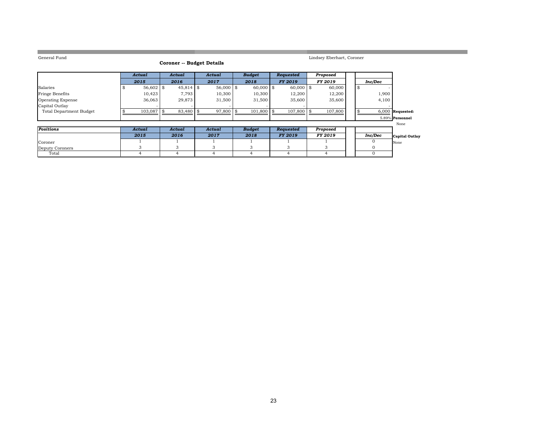**COL** 

### **Coroner -- Budget Details**

Lindsey Eberhart, Coroner

a sa kacamatan ing Kabupatèn Kabupatèn Kabupatèn Kabupatèn Kabupatèn Kabupatèn Kabupatèn Kabupatèn Kabupatèn K

|                         | Actual       | Actual    | Actual      | <b>Budget</b> | <b>Requested</b> | Proposed       |    |                    |  |
|-------------------------|--------------|-----------|-------------|---------------|------------------|----------------|----|--------------------|--|
|                         | 2015         | 2016      | 2017        | 2018          | <b>FY 2019</b>   | <b>FY 2019</b> |    | Inc/Dec            |  |
| Salaries                | $56.602$ \\$ | 45,814 \$ | $56,000$ \$ | $60,000$ \$   | $60,000$ \$      | 60,000         | -S |                    |  |
| <b>Fringe Benefits</b>  | 10.423       | 7.793     | 10,300      | 10,300        | 12.200           | 12.200         |    | 1,900              |  |
| Operating Expense       | 36,063       | 29,873    | 31,500      | 31,500        | 35,600           | 35,600         |    | 4,100              |  |
| Capital Outlay          |              |           |             |               |                  |                |    |                    |  |
| Total Department Budget | $103.087$ \$ | 83,480    | 97,800 \$   | $101,800$ \$  | $107,800$ \$     | 107,800        |    | $6,000$ Requested: |  |
|                         |              |           |             |               |                  |                |    | 5.89% Personnel    |  |

|                 |        |        |        |               |                |          |         | None                  |
|-----------------|--------|--------|--------|---------------|----------------|----------|---------|-----------------------|
| Positions       | Actual | Actual | Actual | <b>Budget</b> | Requested      | Proposed |         |                       |
|                 | 2015   | 2016   | 2017   | 2018          | <b>FY 2019</b> | FY 2019  | Inc/Dec | <b>Capital Outlay</b> |
| <b>Coroner</b>  |        |        |        |               |                |          |         | None                  |
| Deputy Coroners |        |        |        |               |                |          |         |                       |
| Total           |        |        |        |               |                |          |         |                       |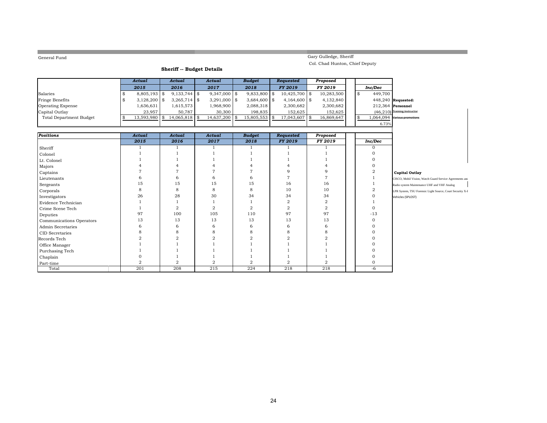**COL** 

## Gary Gulledge, Sheriff

Col. Chad Hunton, Chief Deputy

### **Sheriff -- Budget Details**

|                                | <b>Actual</b>        | Actual         | Actual                | <b>Budget</b>  | <b>Requested</b> |      | Proposed       |    |                   |                                                           |
|--------------------------------|----------------------|----------------|-----------------------|----------------|------------------|------|----------------|----|-------------------|-----------------------------------------------------------|
|                                | 2015                 | 2016           | 2017                  | 2018           | FY 2019          |      | FY 2019        |    | Inc/Dec           |                                                           |
| Salaries                       | \$<br>$8,805,193$ \$ | $9,133,744$ \$ | $9,347,000$ \$        | $9,833,800$ \$ | $10,425,700$ \$  |      | 10,283,500     | \$ | 449,700           |                                                           |
| Fringe Benefits                | \$<br>$3,128,200$ \$ | $3,265,714$ \$ | $3,291,000$ \$        | $3,684,600$ \$ | $4,164,600$ \$   |      | 4,132,840      |    |                   | 448,240 Requested:                                        |
| Operating Expense              | 1,636,631            | 1,615,573      | 1,968,900             | 2,088,318      | 2,300,682        |      | 2,300,682      |    | 212,364 Personnel |                                                           |
| Capital Outlay                 | 23,957               | 50,787         | 30,300                | 198,835        | 152,625          |      | 152,625        |    |                   | $(46,210)$ Fraining Instructor                            |
| <b>Total Department Budget</b> | \$<br>13,593,980     | \$14,065,818   | \$<br>$14,637,200$ \$ | 15,805,553     | \$<br>17,043,607 | l \$ | 16,869,647     | \$ |                   | $1,064,094$ Various promotions                            |
|                                |                      |                |                       |                |                  |      |                |    | 6.73%             |                                                           |
|                                |                      |                |                       |                |                  |      |                |    |                   |                                                           |
| <b>Positions</b>               | <b>Actual</b>        | Actual         | Actual                | <b>Budget</b>  | Requested        |      | Proposed       |    |                   |                                                           |
|                                | 2015                 | 2016           | 2017                  | 2018           | <b>FY 2019</b>   |      | FY 2019        |    | Inc/Dec           |                                                           |
| Sheriff                        |                      |                |                       |                |                  |      |                |    | $\mathbf{O}$      |                                                           |
| Colonel                        |                      |                |                       |                |                  |      |                |    | $\Omega$          |                                                           |
| Lt. Colonel                    |                      |                |                       |                |                  |      |                |    | $\Omega$          |                                                           |
| Majors                         |                      |                |                       |                |                  |      |                |    | $\Omega$          |                                                           |
| Captains                       |                      |                |                       |                | q                |      | 9              |    | $\overline{2}$    | <b>Capital Outlay</b>                                     |
| Lieutenants                    |                      | 6              | 6                     |                |                  |      | $\overline{7}$ |    |                   | CISCO, Mobil Vision, Watch Guard Service Agreements and   |
| Sergeants                      | 15                   | 15             | 15                    | 15             | 16               |      | 16             |    |                   | Radio system Maintenance UHF and VHF Analog               |
| Corporals                      | 8                    | 8              | 8                     | 8              | 10               |      | 10             |    | $\overline{2}$    | LPR System, TSU Forensic Light Source, Court Security X-I |
| Investigators                  | 26                   | 28             | 30                    | 34             | 34               |      | 34             |    | $\Omega$          | Vehicles (SPLOST)                                         |
| Evidence Technician            |                      |                |                       |                | $\overline{a}$   |      | $\overline{2}$ |    |                   |                                                           |
| Crime Scene Tech               |                      | $\mathbf{2}$   | $\overline{2}$        | $\overline{2}$ | $\overline{2}$   |      | $\overline{2}$ |    | $\mathbf{0}$      |                                                           |
| Deputies                       | 97                   | 100            | 105                   | 110            | 97               |      | 97             |    | $-13$             |                                                           |
| Communications Operators       | 13                   | 13             | 13                    | 13             | 13               |      | 13             |    | $\Omega$          |                                                           |
| Admin Secretaries              | 6                    | 6              | 6                     | 6              | 6                |      | 6              |    | $\Omega$          |                                                           |
| CID Secretaries                |                      | 8              | 8                     | 8              | 8                |      | 8              |    | $\Omega$          |                                                           |
| Records Tech                   |                      | $\Omega$       | $\overline{2}$        | $\Omega$       | $\overline{2}$   |      | $\overline{2}$ |    | $\Omega$          |                                                           |
| Office Manager                 |                      |                |                       |                |                  |      |                |    | O                 |                                                           |
| Purchasing Tech                |                      |                |                       |                |                  |      |                |    | $\Omega$          |                                                           |
| Chaplain                       |                      |                |                       |                |                  |      |                |    | $\Omega$          |                                                           |
| Part-time                      | $\overline{2}$       | $\overline{a}$ | $\overline{2}$        | $\overline{2}$ | $\overline{2}$   |      | $\overline{2}$ |    | 0                 |                                                           |
| Total                          | 201                  | 208            | 215                   | 224            | 218              |      | 218            |    | -6                |                                                           |

a sa kacamatan ing Kabupatèn Kabupatèn Kabupatèn Kabupatèn Kabupatèn Kabupatèn Kabupatèn Kabupatèn Kabupatèn K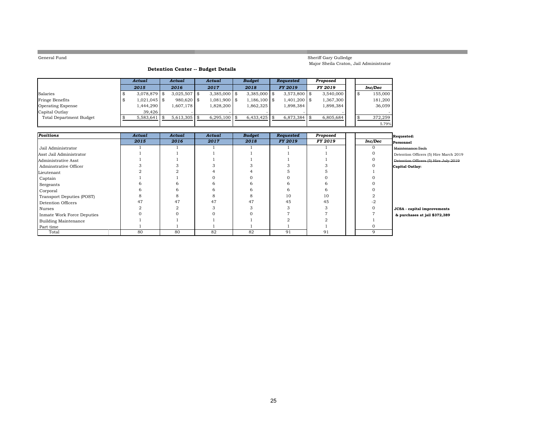**College** 

### Sheriff Gary Gulledge Major Sheila Craton, Jail Administrator

### **Detention Center -- Budget Details**

|                         | Actual         | Actual          | Actual          | <b>Budget</b>  | <b>Requested</b> | Proposed  |  |         |
|-------------------------|----------------|-----------------|-----------------|----------------|------------------|-----------|--|---------|
|                         | 2015           | 2016            | 2017            | 2018           | <b>FY 2019</b>   | FY 2019   |  | Inc/Dec |
| Salaries                | $3,078,879$ \$ | $3,025,507$ \$  | $3,385,000$ \\$ | $3,385,000$ \$ | $3,573,800$ \$   | 3,540,000 |  | 155,000 |
| Fringe Benefits         | $1,021,045$ \$ | $980.620$ \$    | 1,081,900 \$    | $1,186,100$ \$ | 1.401.200 \$     | 1,367,300 |  | 181,200 |
| Operating Expense       | 1,444,290      | 1,607,178       | 1,828,200       | 1,862,325      | 1,898,384        | 1,898,384 |  | 36,059  |
| Capital Outlay          | 39.426         |                 |                 |                |                  |           |  |         |
| Total Department Budget | 5,583,641      | $5,613,305$ \\$ | 6,295,100       | $6,433,425$ \$ | 6,873,384        | 6,805,684 |  | 372,259 |
|                         |                |                 |                 |                |                  |           |  | 5.79%   |

| <b>Positions</b>            | Actual | Actual | Actual | <b>Budget</b> | Requested      | Proposed |         | Requested:                             |
|-----------------------------|--------|--------|--------|---------------|----------------|----------|---------|----------------------------------------|
|                             | 2015   | 2016   | 2017   | 2018          | <b>FY 2019</b> | FY 2019  | Inc/Dec | Personnel                              |
| Jail Administrator          |        |        |        |               |                |          |         | Maintenance Tech                       |
| Asst Jail Administrator     |        |        |        |               |                |          |         | Detention Officers (5) Hire March 2019 |
| Administrative Asst         |        |        |        |               |                |          |         | Detention Officers (5) Hire July 2019  |
| Adminstrative Officer       |        |        |        |               |                |          |         | Capital Outlay:                        |
| Lieutenant                  |        |        |        |               |                |          |         |                                        |
| Captain                     |        |        |        |               |                |          |         |                                        |
| Sergeants                   |        | b      |        |               |                |          |         |                                        |
| Corporal                    |        | 6      |        |               |                | h        |         |                                        |
| Transport Deputies (POST)   |        |        |        |               | 10             | 10       |         |                                        |
| Detention Officers          | 47     | 47     | 47     | 47            | 45             | 45       |         |                                        |
| Nurses                      |        |        |        |               |                |          |         | JCSA - capital improvements            |
| Inmate Work Force Deputies  |        |        |        |               |                |          |         | & purchases at jail \$372,389          |
| <b>Building Maintenance</b> |        |        |        |               |                |          |         |                                        |
| Part time                   |        |        |        |               |                |          |         |                                        |
| Total                       | 80     | 80     | 82     | 82            | 91             | 91       | q       |                                        |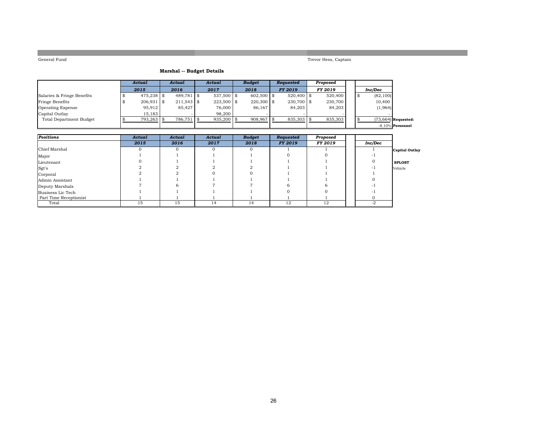Trevor Hess, Captain

### **Marshal -- Budget Details**

|                            | Actual       | Actual       | Actual       | <b>Budget</b> | Requested      | Proposed       |  |                       |
|----------------------------|--------------|--------------|--------------|---------------|----------------|----------------|--|-----------------------|
|                            | 2015         | 2016         | 2017         | 2018          | <b>FY 2019</b> | <b>FY 2019</b> |  | Inc/Dec               |
| Salaries & Fringe Benefits | 475.238 \$   | $489.781$ \$ | $537,500$ \$ | $602.500$ \$  | $520.400$ \$   | 520,400        |  | (82, 100)             |
| Fringe Benefits            | $206,931$ \$ | $211.543$ \$ | $223,500$ \$ | $220,300$ \$  | $230.700$ \$   | 230,700        |  | 10,400                |
| <b>Operating Expense</b>   | 95,912       | 85.427       | 76,000       | 86.167        | 84.203         | 84,203         |  | (1,964)               |
| Capital Outlay             | 15,183       |              | 98,200       |               |                |                |  |                       |
| Total Department Budget    | 793,263      | 786,751 \    | $935,200$ \$ | 908,967       | 835,303        | 835,303        |  | $(73,664)$ Requested: |
|                            |              |              |              |               |                |                |  | $-8.10\%$ Personnel   |

| <b>Positions</b>       | Actual | Actual | Actual            | <b>Budget</b> | Requested | Proposed |         |                       |
|------------------------|--------|--------|-------------------|---------------|-----------|----------|---------|-----------------------|
|                        | 2015   | 2016   | 2017              | 2018          | FY 2019   | FY 2019  | Inc/Dec |                       |
| Chief Marshal          |        |        | $\mathbf{\Omega}$ | $\Omega$      |           |          |         | <b>Capital Outlay</b> |
| Major                  |        |        |                   |               |           |          |         |                       |
| Lieutenant             |        |        |                   |               |           |          |         | <b>SPLOST</b>         |
| $\sqrt{\text{Sgt}}$ 's |        |        |                   |               |           |          |         | Vehicle               |
| Corporal               |        |        |                   |               |           |          |         |                       |
| Admin Assistant        |        |        |                   |               |           |          |         |                       |
| Deputy Marshals        |        |        |                   |               |           |          |         |                       |
| Business Lic Tech      |        |        |                   |               |           |          |         |                       |
| Part Time Receptionist |        |        |                   |               |           |          |         |                       |
| Total                  | 15     | 15     | 14                | 14            | 12        | 12       | $-2$    |                       |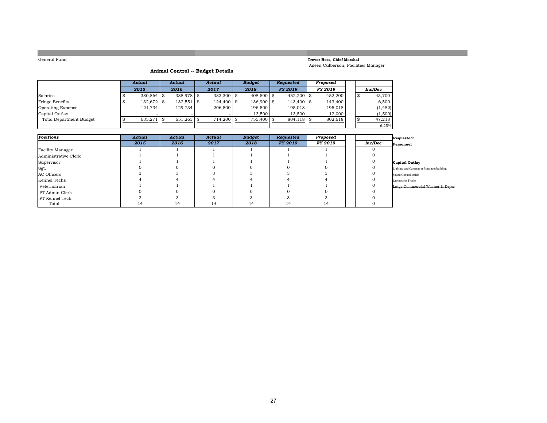### **Trevor Hess, Chief Marshal** Aileen Culberson, Facilities Manager

### **Animal Control -- Budget Details**

|                                | Actual       | Actual       |  | Actual       |  | <b>Budget</b> |  | Requested      | Proposed       |  |          |
|--------------------------------|--------------|--------------|--|--------------|--|---------------|--|----------------|----------------|--|----------|
|                                | 2015         | 2016         |  | 2017         |  | 2018          |  | <b>FY 2019</b> | <b>FY 2019</b> |  | Inc/Dec  |
| Salaries                       | $380.864$ \$ | $388.978$ \$ |  | $383.300$ \$ |  | 408,500 \$    |  | $452.200$ \\$  | 452,200        |  | 43,700   |
| Fringe Benefits                | $132,672$ \$ | $132,551$ \$ |  | $124.400$ \$ |  | $136.900$ \\$ |  | $143.400$ \$   | 143,400        |  | 6,500    |
| <b>Operating Expense</b>       | 121.734      | 129.734      |  | 206,500      |  | 196,500       |  | 195.018        | 195.018        |  | (1, 482) |
| Capital Outlay                 |              |              |  |              |  | 13.500        |  | 13.500         | 12.000         |  | (1,500)  |
| <b>Total Department Budget</b> | 635,271      | 651,263      |  | 714,200 \$   |  | 755,400 \$    |  | $804,118$ \$   | 802,618        |  | 47,218   |
|                                |              |              |  |              |  |               |  |                |                |  | 6.25%    |

| <b>Positions</b>     | Actual | Actual | Actual | <b>Budget</b> | Requested      | Proposed |         | Requested:                                  |
|----------------------|--------|--------|--------|---------------|----------------|----------|---------|---------------------------------------------|
|                      | 2015   | 2016   | 2017   | 2018          | <b>FY 2019</b> | FY 2019  | Inc/Dec | Personnel                                   |
| Facility Manager     |        |        |        |               |                |          |         |                                             |
| Administrative Clerk |        |        |        |               |                |          |         |                                             |
| Supervisor           |        |        |        |               |                |          |         | Capital Outlay                              |
| Sgt.                 |        |        |        |               |                |          |         | Lighting and Cameras at front gate/building |
| AC Officers          |        |        |        |               |                |          |         | Sound Control Inside                        |
| Kennel Techs         |        |        |        |               |                |          |         | Laptops for Trucks                          |
| Veterinarian         |        |        |        |               |                |          |         | Latge Commercial Washer & Dryer             |
| PT Admin Clerk       |        |        |        |               |                |          |         |                                             |
| PT Kennel Tech       |        |        |        |               |                |          |         |                                             |
| Total                | 14     | 14     | 14     | 14            | 14             | 14       |         |                                             |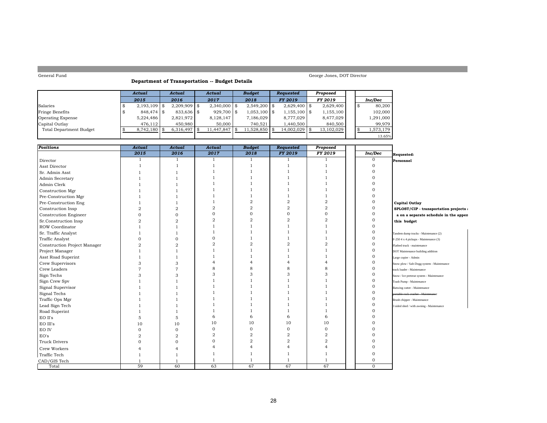### **Department of Transportation -- Budget Details**

|                                | Actual         | Actual         |  | Actual         |  | <b>Budget</b>  |  | Requested       | Proposed   |  |           |
|--------------------------------|----------------|----------------|--|----------------|--|----------------|--|-----------------|------------|--|-----------|
|                                | 2015           | 2016           |  | 2017           |  | 2018           |  | <b>FY 2019</b>  | FY 2019    |  | Inc/Dec   |
| Salaries                       | $2,193,109$ \$ | $2.209.909$ \$ |  | $2.340.000$ \$ |  | $2,549,200$ \$ |  | $2.629.400$ \\$ | 2,629,400  |  | 80,200    |
| Fringe Benefits                | 848,474 \$     | $833.636$ \$   |  | $929.700$ \$   |  | $1,053,100$ \$ |  | $1,155,100$ \\$ | 1,155,100  |  | 102,000   |
| Operating Expense              | 5.224.486      | 2,821,972      |  | 8,128,147      |  | 7,186,029      |  | 8.777.029       | 8,477,029  |  | 1,291,000 |
| Capital Outlay                 | 476.112        | 450.980        |  | 50,000         |  | 740.521        |  | 1.440.500       | 840,500    |  | 99.979    |
| <b>Total Department Budget</b> | 8,742,180      | $6,316,497$ \$ |  | 11,447,847     |  | 11,528,850     |  | 14,002,029      | 13,102,029 |  | 1,573,179 |
|                                |                |                |  |                |  |                |  |                 |            |  | 13.65%    |

| <b>Positions</b>             | Actual         | Actual         | Actual         | <b>Budget</b>  | Requested      | Proposed       |              |                                            |
|------------------------------|----------------|----------------|----------------|----------------|----------------|----------------|--------------|--------------------------------------------|
|                              | 2015           | 2016           | 2017           | 2018           | <b>FY 2019</b> | FY 2019        | Inc/Dec      | Requested:                                 |
| Director                     |                | 1              | 1              | 1              |                |                | $\mathbf 0$  | Personnel                                  |
| Asst Director                |                |                |                |                |                |                | $\Omega$     |                                            |
| Sr. Admin Asst               |                |                |                |                |                |                |              |                                            |
| Admin Secretary              |                |                |                |                |                |                |              |                                            |
| Admin Clerk                  |                |                |                |                |                |                |              |                                            |
| Construction Mgr             |                |                |                |                |                |                |              |                                            |
| Pre-Construction Mgr         |                |                |                |                |                |                |              |                                            |
| Pre-Construction Eng         |                |                |                | $\overline{2}$ | $\overline{2}$ | $\overline{2}$ | $\mathbf{0}$ | <b>Capital Outlay</b>                      |
| Construction Insp            | $\overline{2}$ | $\overline{2}$ | $\overline{2}$ | $\overline{2}$ | $\overline{2}$ | $\overline{2}$ | $\mathbf{0}$ | SPLOST/CIP - transportation projects:      |
| <b>Constrcution Engineer</b> | $\Omega$       | $\Omega$       | $\Omega$       | $\Omega$       | $\Omega$       | $\Omega$       | $\Omega$     | a on a separate schedule in the appen      |
| Sr.Construction Insp         | $\overline{2}$ | $\overline{2}$ | $\overline{2}$ | $\overline{2}$ | $\overline{2}$ | $\overline{2}$ |              | this budget                                |
| ROW Coordinator              |                |                |                |                |                |                |              |                                            |
| Sr. Traffic Analyst          |                |                |                |                |                |                | $\Omega$     | Tandem dump trucks - Maintenance (2)       |
| Traffic Analyst              | $\Omega$       |                | $\mathbf{0}$   |                |                |                | $\Omega$     | F-250 4 x 4 pickups - Maintenance (3)      |
| Construction Project Manager | $\overline{2}$ | $\overline{2}$ | $\overline{2}$ | $\overline{2}$ | $\overline{2}$ | $\mathcal{D}$  | $\Omega$     | Flatbed truck - maintenance                |
| Project Manager              |                |                |                |                |                |                |              | DOT Maintenance building addition          |
| Asst Road Superint           |                |                |                |                |                |                |              | Large copier - Admin                       |
| Crew Supervisors             | 3              | 3              |                |                |                |                |              | Snow plow / Salt-Dogg system - Maintenance |
| Crew Leaders                 | $\overline{7}$ |                | 8              | 8              |                |                |              | track loader - Maintenance                 |
| Sign Techs                   | 3              | 3              | 3              | 3              | 3              | 3              |              | Snow / Ice pretreat system - Maintenance   |
| Sign Crew Spv                |                |                |                |                |                |                | $\Omega$     | Trash Pump - Maintenance                   |
| Signal Supervisor            |                |                |                |                |                |                | $\Omega$     | Batwing cutter - Maintenance               |
| Signal Techs                 |                |                |                |                |                |                | $\Omega$     | portable rock crusher Maintenance          |
| Traffic Ops Mgr              |                |                |                |                |                |                | $\Omega$     | Brush chipper - Maintenance                |
| Lead Sign Tech               |                |                |                |                |                |                | $\Omega$     | 3 sided shed / with awning - Maintenance   |
| Road Superint                |                |                |                |                |                |                | $\Omega$     |                                            |
| EO II's                      | 5              | 5              | 6              | 6              | 6              | 6              | $\Omega$     |                                            |
| EO III's                     | 10             | 10             | 10             | 10             | 10             | 10             | $\Omega$     |                                            |
| EO IV                        | 0              | $\Omega$       | $\mathbf{O}$   | $\mathbf{0}$   | $\mathbf{O}$   | $\mathbf{0}$   |              |                                            |
| EO's                         | $\overline{2}$ | $\overline{2}$ | $\overline{2}$ | $\overline{a}$ | $\overline{2}$ | $\overline{2}$ |              |                                            |
| <b>Truck Drivers</b>         | $\Omega$       |                | $\Omega$       | $\overline{2}$ | $\overline{2}$ | $\overline{2}$ |              |                                            |
| Crew Workers                 |                |                |                | $\Delta$       | $\overline{4}$ |                |              |                                            |
| Traffic Tech                 |                |                |                |                |                |                |              |                                            |
| CAD/GIS Tech                 |                |                |                |                |                |                | $\Omega$     |                                            |
| Total                        | 59             | 60             | 63             | 67             | 67             | 67             | $\Omega$     |                                            |

George Jones, DOT Director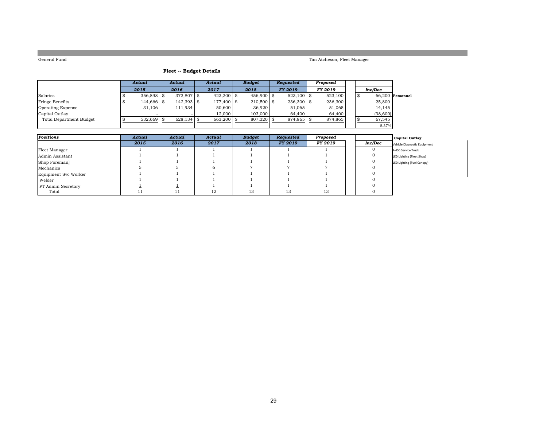Tim Atcheson, Fleet Manager

### **Fleet -- Budget Details**

|                          |  | Actual       |  | Actual        |              | Actual | <b>Budget</b> |                | Reauested      | Proposed |                    |  |  |
|--------------------------|--|--------------|--|---------------|--------------|--------|---------------|----------------|----------------|----------|--------------------|--|--|
|                          |  | 2015         |  | 2016          | 2017         |        | 2018          | <b>FY 2019</b> | <b>FY 2019</b> |          | Inc/Dec            |  |  |
| Salaries                 |  | $356,898$ \$ |  | $373,807$ \$  | $423,200$ \$ |        | $456.900$ \$  | $523,100$ \$   | 523,100        |          | $66.200$ Personnel |  |  |
| Fringe Benefits          |  | 144,666 \$   |  | $142,393$ \$  | 177,400 \$   |        | $210,500$ \$  | $236,300$ \$   | 236,300        |          | 25,800             |  |  |
| <b>Operating Expense</b> |  | 31,106       |  | 111.934       | 50,600       |        | 36.920        | 51,065         | 51.065         |          | 14,145             |  |  |
| Capital Outlay           |  |              |  |               | 12,000       |        | 103,000       | 64,400         | 64,400         |          | (38,600)           |  |  |
| Total Department Budget  |  | $532,669$ \$ |  | $628,134$ \\$ | 663,200 \$   |        | 807,320       | 874,865 \$     | 874,865        |          | 67,545             |  |  |
|                          |  |              |  |               |              |        |               |                |                |          | 8.37%              |  |  |

| Positions            | Actual | Actual | Actual | <b>Budget</b> | Requested                 | Proposed |         | <b>Capital Outlay</b>        |
|----------------------|--------|--------|--------|---------------|---------------------------|----------|---------|------------------------------|
|                      | 2015   | 2016   | 2017   | 2018          | <b>FY 2019</b>            | FY 2019  | Inc/Dec | Vehicle Diagnostic Equipment |
| Fleet Manager        |        |        |        |               |                           |          |         | F-450 Service Truck          |
| Admin Assistant      |        |        |        |               |                           |          |         | LED Lighting (Fleet Shop)    |
| Shop Foreman         |        |        |        |               |                           |          |         | LED Lighting (Fuel Canopy)   |
| Mechanics            |        |        |        |               |                           |          |         |                              |
| Equipment Svc Worker |        |        |        |               |                           |          |         |                              |
| Welder               |        |        |        |               |                           |          |         |                              |
| PT Admin Secretary   |        |        |        |               |                           |          |         |                              |
| Total                |        | . .    | 12     | 13            | 1 <sub>0</sub><br>$\cdot$ | 13       |         |                              |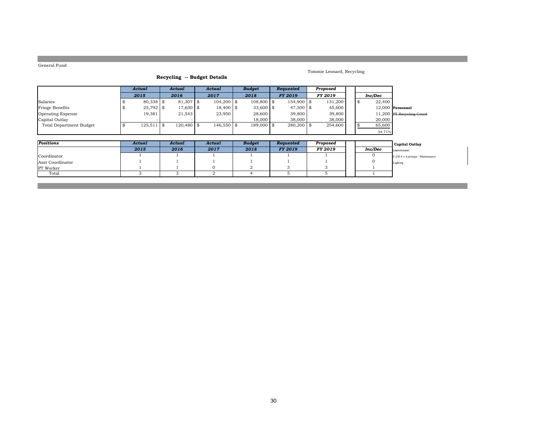### Tommie Leonard, Recycling

| Recycling -- Budget Details |  |  |  |
|-----------------------------|--|--|--|
|-----------------------------|--|--|--|

|                                | Actual          | Actual       | Actual        |  | <b>Budget</b> | <b>Requested</b> | Proposed |      |         |                           |
|--------------------------------|-----------------|--------------|---------------|--|---------------|------------------|----------|------|---------|---------------------------|
|                                | 2015            | 2016         | 2017          |  | 2018          | <b>FY 2019</b>   | FY 2019  |      | Inc/Dec |                           |
| Salaries                       | $80.338$ \ \ \$ | 81,307 \$    | $104.200$ \\$ |  | $108,800$ \$  | 154,900 \$       | 131.200  | - \$ | 22,400  |                           |
| Fringe Benefits                | $25,792$ \$     | 17,630 \$    | 18.400 \$     |  | $33,600$ \$   | 47,500 \$        | 45,600   |      |         | $12.000$ Personnel        |
| <b>Operating Expense</b>       | 19,381          | 21.543       | 23,950        |  | 28,600        | 39,800           | 39,800   |      |         | 11,200 PT Recycling Coord |
| Capital Outlay                 |                 |              |               |  | 18,000        | 38,000           | 38,000   |      | 20,000  |                           |
| <b>Total Department Budget</b> | $125,511$ \$    | $120.480$ \$ | $146,550$ \$  |  | $189,000$ \$  | $280,200$ \$     | 254,600  |      | 65,600  |                           |
|                                |                 |              |               |  |               |                  |          |      | 34.71%  |                           |

| Positions        | Actual | Actual | Actual | <b>Budget</b> | Requested      | Proposed |         | Capital Outlay                    |
|------------------|--------|--------|--------|---------------|----------------|----------|---------|-----------------------------------|
|                  | 2015   | 2016   | 2017   | 2018          | <b>FY 2019</b> | FY 2019  | Inc/Dec | <b>Lawnmower</b>                  |
| Coordinator      |        |        |        |               |                |          |         | F-250 4 x 4 pickups - Maintenance |
| Asst Coordinator |        |        |        |               |                |          |         | Lighting                          |
| <b>PT</b> Worker |        |        |        |               |                |          |         |                                   |
| Total            |        |        |        |               |                |          |         |                                   |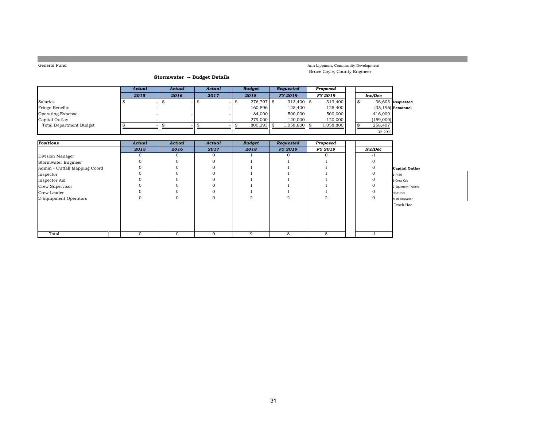### Ann Lippman, Community Development Bruce Coyle, County Engineer

### **Stormwater -- Budget Details**

|                                | Actual |     | Actual | Actual | <b>Budget</b> | <b>Requested</b> | Proposed  |      |           |                       |
|--------------------------------|--------|-----|--------|--------|---------------|------------------|-----------|------|-----------|-----------------------|
|                                | 2015   |     | 2016   | 2017   | 2018          | <b>FY 2019</b>   | FY 2019   |      | Inc/Dec   |                       |
| Salaries                       |        | । ⊅ |        |        | $276,797$ \$  | $313.400$ \\$    | 313,400   | - \$ |           | $36,603$ Requested    |
| Fringe Benefits                |        |     |        |        | 160.596       | 125,400          | 125,400   |      |           | $(35, 196)$ Personnel |
| <b>Operating Expense</b>       |        |     |        |        | 84,000        | 500,000          | 500,000   |      | 416,000   |                       |
| Capital Outlay                 |        |     |        |        | 279,000       | 120,000          | 120,000   |      | (159,000) |                       |
| <b>Total Department Budget</b> |        |     |        |        | 800,393       | 1,058,800 \$     | 1,058,800 |      | 258,407   |                       |
|                                |        |     |        |        |               |                  |           |      | 32.29%    |                       |

| Positions                     | Actual       | Actual   | Actual   | <b>Budget</b> | Requested      | Proposed |         |                       |
|-------------------------------|--------------|----------|----------|---------------|----------------|----------|---------|-----------------------|
|                               | 2015         | 2016     | 2017     | 2018          | <b>FY 2019</b> | FY 2019  | Inc/Dec |                       |
| Division Manager              | $\mathbf{0}$ | $\Omega$ | $\Omega$ |               |                | $\Omega$ | - 1     |                       |
| Stormwater Engineer           | 0            |          |          |               |                |          |         |                       |
| Admin - Outfall Mapping Coord | 0            |          |          |               |                |          |         | <b>Capital Outlay</b> |
| Inspector                     | 0            |          |          |               |                |          |         | 1-F450                |
| Inspector Aid                 | $\Omega$     |          |          |               |                |          |         | 1-Crew Cab            |
| Crew Supervisor               | 0            |          |          |               |                |          |         | 2-Equiment Trailers   |
| Crew Leader                   | 0            |          |          |               |                |          |         | Skidsteer             |
| 2-Equipment Operators         | $\Omega$     | 0        |          | 2             |                | 2        | 0       | Mini Excavator        |
|                               |              |          |          |               |                |          |         | Track Hoe             |
|                               |              |          |          |               |                |          |         |                       |
|                               |              |          |          |               |                |          |         |                       |
| Total                         | $\mathbf{0}$ | $\Omega$ | $\Omega$ | 9             | 8              | 8        | -1      |                       |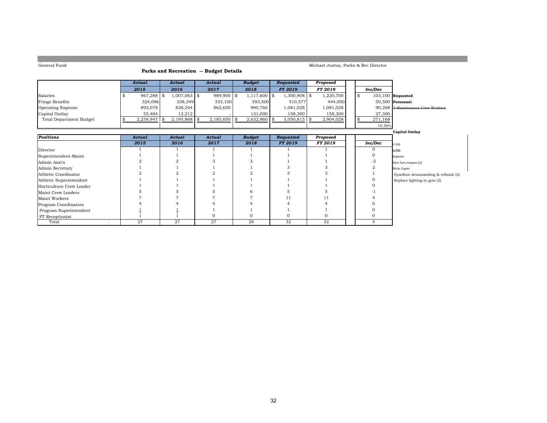### **Parks and Recreation -- Budget Details**

### Michael Justus, Parks & Rec Director

|                                | Actual       | Actual          | Actual         | <b>Budget</b>  | Requested      | Proposed       |  |         |                                   |
|--------------------------------|--------------|-----------------|----------------|----------------|----------------|----------------|--|---------|-----------------------------------|
|                                | 2015         | 2016            | 2017           | 2018           | <b>FY 2019</b> | <b>FY 2019</b> |  | Inc/Dec |                                   |
| Salaries                       | $967,288$ \$ | $1,007,063$ \$  | $989.900$ \$   | $1,117,600$ \$ | 1,300,908 \$   | 1,220,700      |  |         | $103,100$ Requested               |
| Fringe Benefits                | 324.096      | 338,349         | 333,100        | 393,500        | 510.577        | 444,000        |  |         | $50.500$ Personnel                |
| <b>Operating Expense</b>       | 892.078      | 838,244         | 862.650        | 990,760        | 1,081,028      | 081,028. ا     |  |         | 90.268 3 Maintenance Crew Workers |
| Capital Outlay                 | 55,484       | 12,212          |                | 131,000        | 158,300        | 158,300        |  | 27,300  |                                   |
| <b>Total Department Budget</b> | 2,238,947    | $2.195.868$ \\$ | $2,185,650$ \$ | $2,632,860$ \$ | $3,050,813$ \$ | 2,904,028      |  | 271,168 |                                   |
|                                |              |                 |                |                |                |                |  | 10.30%  |                                   |

|                          |        |        |        |               |           |          |                | <b>Capital Outlay</b>               |
|--------------------------|--------|--------|--------|---------------|-----------|----------|----------------|-------------------------------------|
| Positions                | Actual | Actual | Actual | <b>Budget</b> | Requested | Proposed |                |                                     |
|                          | 2015   | 2016   | 2017   | 2018          | FY 2019   | FY 2019  | Inc/Dec        | F-150                               |
| Director                 |        |        |        |               |           |          |                | $F - 250$                           |
| Superintendent-Maint     |        |        |        |               |           |          |                | Explorer                            |
| Admin Asst's             |        |        |        |               |           |          | -2             | Zero Turn mowers (2)                |
| Admin Secretary          |        |        |        |               |           |          |                | Richo Copier                        |
| Athletic Coordinator     |        |        |        |               |           |          |                | Gymfloor drumsanding & refinish (2) |
| Athletic Superintendent  |        |        |        |               |           |          |                | Replace lighting in gym (2)         |
| Horticulture Crew Leader |        |        |        |               |           |          |                |                                     |
| Maint Crew Leaders       |        |        |        |               |           |          |                |                                     |
| Maint Workers            |        |        |        |               | 11        |          |                |                                     |
| Program Coordinators     |        |        |        |               |           |          |                |                                     |
| Program Superintendent   |        |        |        |               |           |          |                |                                     |
| <b>PT</b> Receptionist   |        |        |        |               |           |          |                |                                     |
| Total                    | 27     | 27     | 27     | 28            | 32        | 32       | $\overline{a}$ |                                     |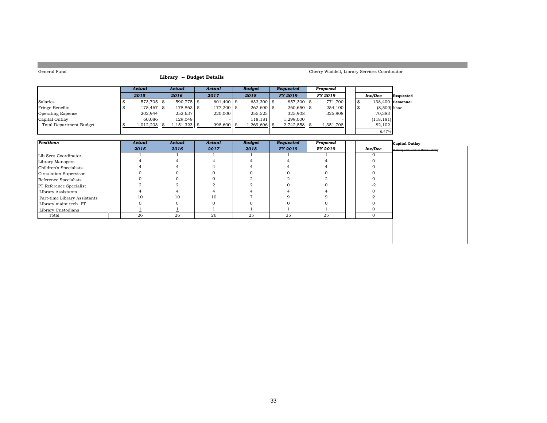### **Library -- Budget Details**

### Cherry Waddell, Library Services Coordinator

 $6.47%$ 

|                         | Actual        | Actual         | Actual       | <b>Budget</b> | Requested      | Proposed       |  |                     |           |
|-------------------------|---------------|----------------|--------------|---------------|----------------|----------------|--|---------------------|-----------|
|                         | 2015          | 2016           | 2017         | 2018          | <b>FY 2019</b> | <b>FY 2019</b> |  | Inc/Dec             | Requested |
| Salaries                | $573.705$ \\$ | $590.775$ \$   | $601,400$ \$ | $633.300$ \\$ | 857,300 \$     | 771.700        |  | $138.400$ Personnel |           |
| Fringe Benefits         | 175.467 \\$   | 178,863 \$     | 177,200 \$   | $262,600$ \$  | $260.650$ \$   | 254,100        |  | $(8,500)$ None      |           |
| Operating Expense       | 202,944       | 252,637        | 220,000      | 255,525       | 325,908        | 325,908        |  | 70,383              |           |
| Capital Outlay          | 60.086        | 129,048        |              | 118,181       | .299.000       |                |  | (118, 181)          |           |
| Total Department Budget | 1,012,203     | $1,151,323$ \$ | $998,600$ \$ | 1,269,606     |                | 1,351,708      |  | 82,102              |           |
|                         |               |                |              |               |                |                |  | 6.47%               |           |

| Positions                      | Actual | Actual | Actual | <b>Budget</b> | Requested      | Proposed |         | Capital Outlay                             |
|--------------------------------|--------|--------|--------|---------------|----------------|----------|---------|--------------------------------------------|
|                                | 2015   | 2016   | 2017   | 2018          | <b>FY 2019</b> | FY 2019  | Inc/Dec | <b>Building and Land for Hiram Library</b> |
| Lib Svcs Coordinator           |        |        |        |               |                |          |         |                                            |
| Library Managers               |        |        |        |               |                |          |         |                                            |
| Children's Specialists         |        |        |        |               |                |          |         |                                            |
| Circulation Supervisor         |        |        |        |               |                |          |         |                                            |
| Reference Specialists          |        |        |        |               |                |          |         |                                            |
| <b>PT</b> Reference Specialist |        |        |        |               |                |          |         |                                            |
| Library Assistants             |        |        |        |               |                |          |         |                                            |
| Part-time Library Assistants   | 10     | 10     | 10     |               |                |          |         |                                            |
| Library maint tech PT          |        |        |        |               |                |          |         |                                            |
| Library Custodians             |        |        |        |               |                |          |         |                                            |
| Total                          | 26     | 26     | 26     | 25            | 25             | 25       |         |                                            |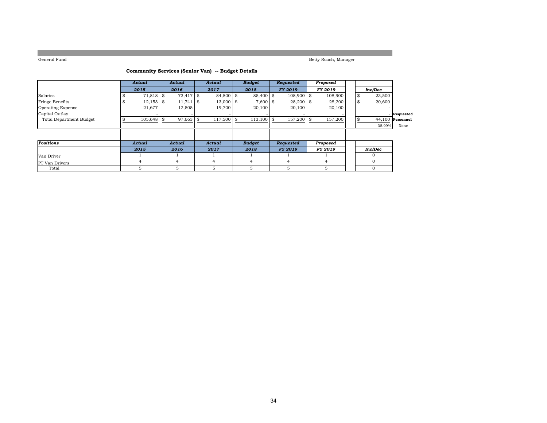Betty Roach, Manager

### **Community Services (Senior Van) -- Budget Details**

|                                | Actual         | Actual              | Actual      | <b>Budget</b>  | <b>Requested</b> | Proposed |                |                    |
|--------------------------------|----------------|---------------------|-------------|----------------|------------------|----------|----------------|--------------------|
|                                | 2015           | 2016                | 2017        | 2018           | <b>FY 2019</b>   | FY 2019  | Inc/Dec        |                    |
| Salaries                       | 71,818 \$      | 73,417 \$           | 84,800 \$   | 85,400 \$      | $108,900$ \$     | 108,900  | 23,500<br>\$   |                    |
| Fringe Benefits                | 12,153         | $11,741$ \$<br>l \$ | $13,000$ \$ | $7,600$ \$     | $28,200$ \$      | 28,200   | \$<br>20,600   |                    |
| <b>Operating Expense</b>       | 21,677         | 12,505              | 19,700      | 20,100         | 20,100           | 20,100   |                |                    |
| Capital Outlay                 |                |                     |             |                |                  |          |                | Requested          |
| <b>Total Department Budget</b> | 105,648        | 97,663              | 117,500     | 113,100<br>\$  | 157,200 \$       | 157,200  |                | $44,100$ Personnel |
|                                |                |                     |             |                |                  |          | 38.99%         | None               |
|                                |                |                     |             |                |                  |          |                |                    |
|                                |                |                     |             |                |                  |          |                |                    |
| Positions                      | Actual         | Actual              | Actual      | <b>Budget</b>  | <b>Requested</b> | Proposed |                |                    |
|                                | 2015           | 2016                | 2017        | 2018           | <b>FY 2019</b>   | FY 2019  | <b>Inc/Dec</b> |                    |
| Van Driver                     |                |                     |             |                |                  |          |                |                    |
| <b>PT</b> Van Drivers          | $\overline{4}$ | 4                   | 4           | $\overline{4}$ | 4                |          |                |                    |
| Total                          | 5              | 5                   | 5           | 5.             | 5                | 5        |                |                    |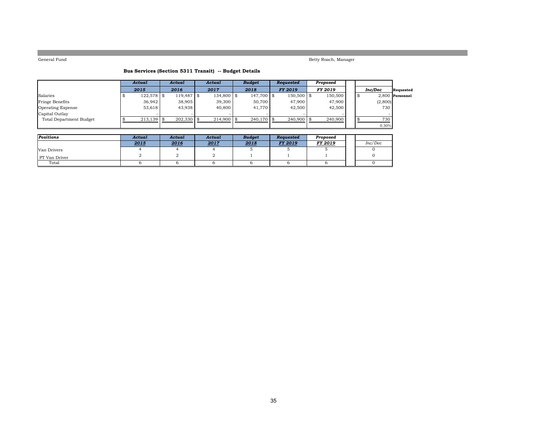Betty Roach, Manager

### **Bus Services (Section 5311 Transit) -- Budget Details**

|                          | Actual       | Actual       | Actual       | <b>Budget</b> | Requested      | Proposed |   |         |                 |
|--------------------------|--------------|--------------|--------------|---------------|----------------|----------|---|---------|-----------------|
|                          | 2015         | 2016         | 2017         | 2018          | <b>FY 2019</b> | FY 2019  |   | Inc/Dec | Requested       |
| Salaries                 | $122,578$ \$ | $119,487$ \$ | 134,800 \$   | 147,700 \$    | $150,500$ \$   | 150,500  | £ |         | 2.800 Personnel |
| <b>Fringe Benefits</b>   | 36.942       | 38,905       | 39,300       | 50,700        | 47,900         | 47,900   |   | (2,800) |                 |
| <b>Operating Expense</b> | 53.618       | 43.938       | 40,800       | 41,770        | 42,500         | 42,500   |   | 730     |                 |
| Capital Outlay           |              |              |              |               |                |          |   |         |                 |
| Total Department Budget  | 213,139      | $202,330$ \$ | $214,900$ \$ | $240,170$ \$  | $240,900$ \$   | 240,900  |   | 730     |                 |
|                          |              |              |              |               |                |          |   | 0.30%   |                 |

| Positions     | Actual | Actual | Actual | <b>Budget</b> | Reauested      | Proposed |         |
|---------------|--------|--------|--------|---------------|----------------|----------|---------|
|               | 2015   | 2016   | 2017   | 2018          | <b>FY 2019</b> | FY 2019  | Inc/Dec |
| Van Drivers   |        |        |        |               |                |          |         |
| PT Van Driver |        |        |        |               |                |          |         |
| Total         |        |        |        |               |                |          |         |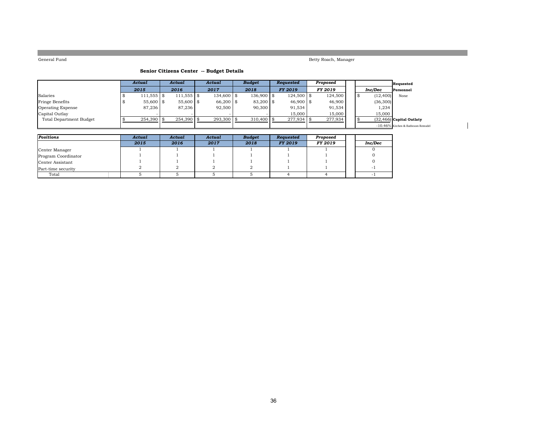Betty Roach, Manager

### **Senior Citizens Center -- Budget Details**

|                          | Actual        | Actual       | Actual       | <b>Budget</b> | <b>Requested</b> | Proposed       |  |          | Requested                          |
|--------------------------|---------------|--------------|--------------|---------------|------------------|----------------|--|----------|------------------------------------|
|                          | 2015          | 2016         | 2017         | 2018          | FY 2019          | <b>FY 2019</b> |  | Inc/Dec  | Personnel                          |
| Salaries                 | $111.555$ \\$ | $111,555$ \$ | 134,600 \$   | 136,900 \$    | $124.500$ \\$    | 124,500        |  | (12,400) | None                               |
| Fringe Benefits          | $55,600$ \$   | 55,600 \$    | 66,200 \$    | 83,200 \$     | $46,900$ \$      | 46,900         |  | (36,300) |                                    |
| <b>Operating Expense</b> | 87.236        | 87.236       | 92,500       | 90,300        | 91.534           | 91,534         |  | 1,234    |                                    |
| Capital Outlay           |               |              |              |               | 15,000           | 15,000         |  | 15,000   |                                    |
| Total Department Budget  | 254,390       | $254,390$ \$ | $293,300$ \$ | $310,400$ \\$ | $277.934$ \$     | 277,934        |  |          | $(32, 466)$ Capital Outlaty        |
|                          |               |              |              |               |                  |                |  |          | -10.46% Kitchen & Bathroom Remodel |

| Positions           | Actual | Actual | Actual | <b>Budget</b> | Requested      | Proposed |         |
|---------------------|--------|--------|--------|---------------|----------------|----------|---------|
|                     | 2015   | 2016   | 2017   | 2018          | <b>FY 2019</b> | FY 2019  | Inc/Dec |
| Center Manager      |        |        |        |               |                |          |         |
| Program Coordinator |        |        |        |               |                |          |         |
| Center Assistant    |        |        |        |               |                |          |         |
| Part-time security  |        |        |        |               |                |          |         |
| Total               |        |        |        |               |                |          |         |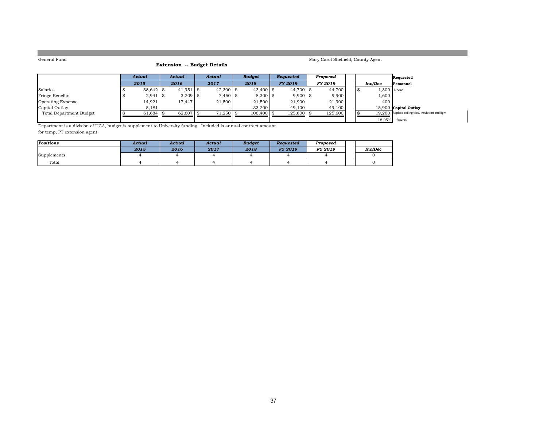### **Extension -- Budget Details**

Mary Carol Sheffield, County Agent

|                          | Actual      | Actual      | Actual      | <b>Budget</b> | Reauested      | Proposed       |  |              | Requested                                          |
|--------------------------|-------------|-------------|-------------|---------------|----------------|----------------|--|--------------|----------------------------------------------------|
|                          | 2015        | 2016        | 2017        | 2018          | <b>FY 2019</b> | <b>FY 2019</b> |  | Inc/Dec      | Personnel                                          |
| Salaries                 | $38,642$ \$ | $41,951$ \$ | $42,300$ \$ | $43,400$ \$   | 44.700 \$      | 44.700         |  | $1.300$ None |                                                    |
| Fringe Benefits          | $2,941$ \$  | $3,209$ \$  | $7,450$ \$  | $8,300$ \$    | $9,900$ \$     | 9,900          |  | 1,600        |                                                    |
| <b>Operating Expense</b> | 14,921      | 17.447      | 21,500      | 21,500        | 21,900         | 21,900         |  | 400          |                                                    |
| Capital Outlay           | 5,181       |             |             | 33,200        | 49.100         | 49.100         |  |              | 15,900 Capital Outlay                              |
| Total Department Budget  | 61,684      | $62,607$ \$ | $71,250$ \$ | $106,400$ \$  | $125,600$ \ \$ | 125,600        |  |              | 19.200 Replace ceiling tiles, insulation and light |
|                          |             |             |             |               |                |                |  |              | 18.05% fixtures                                    |

Department is a division of UGA, budget is supplement to University funding. Included is annual contract amount for temp, PT extension agent.

| Positions   | Actual | Actual | Actual | <b>Budget</b> | Reauested      | Proposed |         |
|-------------|--------|--------|--------|---------------|----------------|----------|---------|
|             | 2015   | 2016   | 2017   | 2018          | <b>FY 2019</b> | FY 2019  | Inc/Dec |
| Supplements |        |        |        |               |                |          |         |
| Total       |        |        |        |               |                |          |         |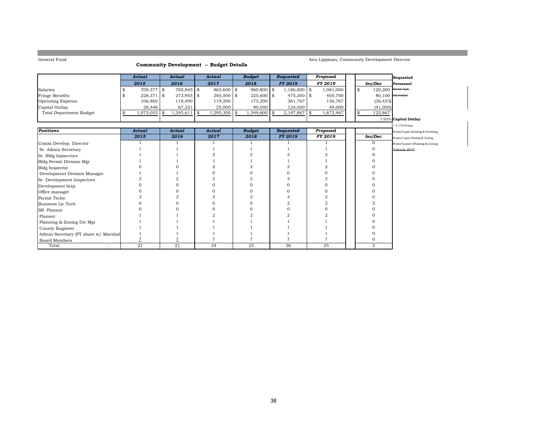### **Community Development -- Budget Details**

### Ann Lippman, Community Development Director

|                                      | <b>Actual</b>   | Actual               | Actual    | <b>Budget</b>      | Requested      | Proposed  |    |                       | Requested                           |
|--------------------------------------|-----------------|----------------------|-----------|--------------------|----------------|-----------|----|-----------------------|-------------------------------------|
|                                      | 2015            | 2016                 | 2017      | 2018               | FY 2019        | FY 2019   |    | Inc/Dec               | Personnel                           |
| Salaries                             | 709,377 \$      | 785,845 \$           | 865,600   | \$<br>960,800 \$   | $1,186,800$ \$ | 1,081,000 | \$ | $120,200$ Permit Tech |                                     |
| Fringe Benefits                      | 228,371         | \$<br>$273,955$ \$   | 285,500   | \$<br>$325,600$ \$ | 475,300 \$     | 405,700   |    | 80,100 GIS Analyst    |                                     |
| <b>Operating Expense</b>             | 106,860         | 118,490              | 119,200   | 173,200            | 361,767        | 136,767   |    | (36, 433)             |                                     |
| Capital Outlay                       | 28,446          | 67,321               | 25,000    | 90,000             | 124,000        | 49,000    |    | (41,000)              |                                     |
| <b>Total Department Budget</b>       | \$<br>1,073,053 | \$<br>$1,245,611$ \$ | 1,295,300 | \$<br>1,549,600 \$ | $2,147,867$ \$ | 1,672,467 | \$ | 122,867               |                                     |
|                                      |                 |                      |           |                    |                |           |    |                       | 7.93% Capital Outlay                |
|                                      |                 |                      |           |                    |                |           |    |                       | - F-150 Pickup                      |
| <b>Positions</b>                     | <b>Actual</b>   | <b>Actual</b>        | Actual    | <b>Budget</b>      | Requested      | Proposed  |    |                       | Printer/Copier Building & Permiting |
|                                      | 2015            | 2016                 | 2017      | 2018               | <b>FY 2019</b> | FY 2019   |    | Inc/Dec               | Printer/Copier Planing & Zoning     |
| Comm.Develop. Director               |                 |                      |           |                    |                |           |    | $\mathbf{O}$          | Plotter/Scanner (Planning & Zoning) |
| Sr. Admin Secretary                  |                 |                      |           |                    |                |           |    | $\Omega$              | Vehicle SUV                         |
| Sr. Bldg Inpsectors                  |                 |                      |           |                    |                |           |    |                       |                                     |
| <b>Bldg Permit Division Mgr</b>      |                 |                      |           |                    |                |           |    |                       |                                     |
| <b>Bldg Inspector</b>                |                 |                      |           |                    |                |           |    |                       |                                     |
| Development Division Manager         |                 |                      |           |                    |                |           |    |                       |                                     |
| Sr. Development Inspectors           | 2               |                      |           |                    |                |           |    |                       |                                     |
| Development Insp                     | O               |                      |           |                    |                |           |    |                       |                                     |
| Office manager                       |                 |                      |           |                    |                |           |    |                       |                                     |
| Permit Techs                         |                 |                      |           |                    |                |           |    |                       |                                     |
| Business Lic Tech                    |                 |                      |           | ∩                  |                |           |    |                       |                                     |
| SR. Planner                          |                 |                      |           |                    |                |           |    |                       |                                     |
| Planner                              |                 |                      |           |                    |                |           |    |                       |                                     |
| Planning & Zoning Div Mgr            |                 |                      |           |                    |                |           |    |                       |                                     |
| County Engineer                      |                 |                      |           |                    |                |           |    |                       |                                     |
| Admin Secretary (PT share w/ Marshal |                 |                      |           |                    |                |           |    |                       |                                     |
| <b>Board Members</b>                 |                 |                      |           |                    |                |           |    | 0                     |                                     |
| Total                                | 21              | 21                   | 24        | 23                 | 26             | 25        |    | 2                     |                                     |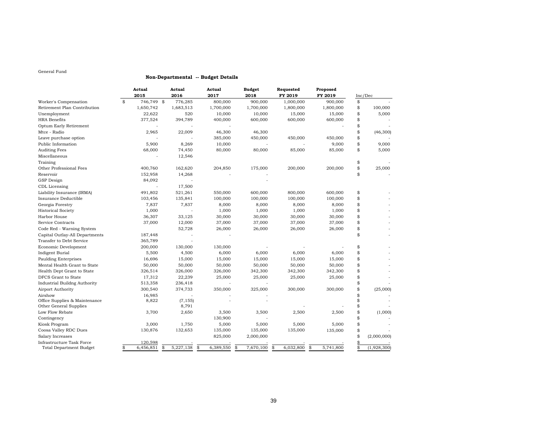### **Non-Departmental -- Budget Details**

|                                      | Actual          | Actual          | Actual    | <b>Budget</b>   | Requested       | Proposed        |                   |
|--------------------------------------|-----------------|-----------------|-----------|-----------------|-----------------|-----------------|-------------------|
|                                      | 2015            | 2016            | 2017      | 2018            | FY 2019         | FY 2019         | Inc/Dec           |
| Worker's Compensation<br>\$          | 746,749 \$      | 776,285         | 800,000   | 900,000         | 1,000,000       | 900,000         | \$                |
| Retirement Plan Contribution         | 1,650,742       | 1,683,513       | 1,700,000 | 1,700,000       | 1,800,000       | 1,800,000       | \$<br>100,000     |
| Unemployment                         | 22,622          | 520             | 10,000    | 10,000          | 15,000          | 15,000          | \$<br>5,000       |
| <b>HRA</b> Benefits                  | 377,524         | 394,789         | 400,000   | 600,000         | 600,000         | 600,000         | \$                |
| Optum Early Retirement               |                 |                 |           |                 |                 |                 | \$                |
| Mtce - Radio                         | 2,965           | 22,009          | 46,300    | 46,300          |                 |                 | \$<br>(46, 300)   |
| Leave purchase option                |                 |                 | 385,000   | 450,000         | 450,000         | 450,000         | \$                |
| Public Information                   | 5,900           | 8,269           | 10,000    |                 |                 | 9,000           | \$<br>9,000       |
| <b>Auditing Fees</b>                 | 68,000          | 74,450          | 80,000    | 80,000          | 85,000          | 85,000          | \$<br>5,000       |
| Miscellaneous                        |                 | 12,546          |           |                 |                 |                 |                   |
| Training                             |                 |                 |           |                 |                 |                 | \$                |
| Other Professional Fees              | 400,760         | 162,620         | 204,850   | 175,000         | 200,000         | 200,000         | \$<br>25,000      |
| Reservoir                            | 152,958         | 14,268          |           |                 |                 |                 | \$                |
| <b>GSP</b> Design                    | 84,092          |                 |           |                 |                 |                 |                   |
| CDL Licensing                        | ÷,              | 17,500          |           |                 |                 |                 |                   |
| Liability Insurance (IRMA)           | 491,802         | 521,261         | 550,000   | 600,000         | 800,000         | 600,000         | \$                |
| Insurance Deductible                 | 103,456         | 135,841         | 100,000   | 100,000         | 100,000         | 100,000         | \$                |
| Georgia Forestry                     | 7,837           | 7,837           | 8,000     | 8,000           | 8,000           | 8,000           | \$                |
| <b>Historical Society</b>            | 1,000           |                 | 1,000     | 1,000           | 1,000           | 1,000           | \$                |
| Harbor House                         | 36,307          | 33,125          | 30,000    | 30,000          | 30,000          | 30,000          | \$                |
| Service Contracts                    | 37,000          | 12,000          | 37,000    | 37,000          | 37,000          | 37,000          | \$                |
| Code Red - Warning System            |                 | 52,728          | 26,000    | 26,000          | 26,000          | 26,000          | \$                |
| Capital Outlay-All Departments       | 187,448         |                 |           |                 |                 |                 | \$                |
| Transfer to Debt Service             | 365,789         |                 |           |                 |                 |                 |                   |
| Economic Development                 | 200,000         | 130,000         | 130,000   |                 |                 |                 | \$                |
| Indigent Burial                      | 5,500           | 4,500           | 6,000     | 6,000           | 6,000           | 6,000           | \$                |
| <b>Paulding Enterprises</b>          | 16,696          | 15,000          | 15,000    | 15,000          | 15,000          | 15,000          | \$                |
| Mental Health Grant to State         | 50,000          | 50,000          | 50,000    | 50,000          | 50,000          | 50,000          | \$                |
| Health Dept Grant to State           | 326,514         | 326,000         | 326,000   | 342,300         | 342,300         | 342,300         | \$                |
| DFCS Grant to State                  | 17,312          | 22,239          | 25,000    | 25,000          | 25,000          | 25,000          | \$                |
| <b>Industrial Buildng Authority</b>  | 513,358         | 236,418         |           |                 |                 |                 | \$                |
| Airport Authority                    | 300,540         | 374,733         | 350,000   | 325,000         | 300,000         | 300,000         | \$<br>(25,000)    |
| Airshow                              | 16,985          |                 |           |                 |                 |                 | \$                |
| Office Supplies & Maintenance        | 8,822           | (7, 155)        |           |                 |                 |                 | \$                |
| Other General Supplies               |                 | 8,791           |           |                 |                 |                 | \$                |
| Low Flow Rebate                      | 3,700           | 2,650           | 3,500     | 3,500           | 2,500           | 2,500           | \$<br>(1,000)     |
| Contingency                          |                 |                 | 130,900   |                 |                 |                 | \$                |
| Kiosk Program                        | 3,000           | 1,750           | 5,000     | 5,000           | 5,000           | 5,000           | \$                |
| Coosa Valley RDC Dues                | 130,876         | 132,653         | 135,000   | 135,000         | 135,000         | 135,000         | \$                |
| Salary Increases                     |                 |                 | 825,000   | 2,000,000       |                 |                 | \$<br>(2,000,000) |
| Infrastructure Task Force            | 120,598         |                 |           |                 |                 |                 | \$                |
| \$<br><b>Total Department Budget</b> | 6,456,851<br>\$ | \$<br>5,227,138 | 6,389,550 | 7,670,100<br>\$ | \$<br>6,032,800 | \$<br>5,741,800 | \$<br>(1,928,300) |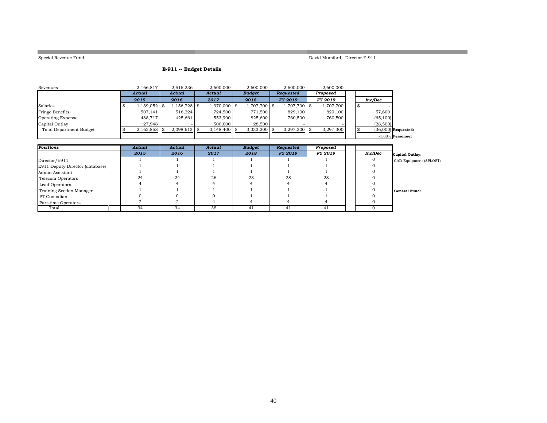**College** 

Special Revenue Fund David Mumford, Director E-911

and the control of the control of the control of the control of the

a an

### **E-911 -- Budget Details**

| Revenues                 | 2.166.817      | 2,516,236      | 2.600.000      | 2.600.000     | 2.600.000      | 2.600.000      |  |           |                       |
|--------------------------|----------------|----------------|----------------|---------------|----------------|----------------|--|-----------|-----------------------|
|                          | Actual         | Actual         | Actual         | <b>Budget</b> | Requested      | Proposed       |  |           |                       |
|                          | 2015           | 2016           | 2017           | 2018          | <b>FY 2019</b> | <b>FY 2019</b> |  | Inc/Dec   |                       |
| Salaries                 | 1,139,052   \$ | $1,156,728$ \$ | 1,370,000 \$   | 1,707,700 \$  | 1,707,700 \$   | 1,707,700      |  |           |                       |
| Fringe Benefits          | 507.141        | 516.224        | 724.500        | 771.500       | 829,100        | 829,100        |  | 57,600    |                       |
| <b>Operating Expense</b> | 488,717        | 425,661        | 553,900        | 825,600       | 760,500        | 760,500        |  | (65, 100) |                       |
| Capital Outlay           | 27.948         |                | 500,000        | 28,500        |                |                |  | (28,500)  |                       |
| Total Department Budget  | $2,162,858$ \$ | $2,098,613$ \$ | $3,148,400$ \$ | 3,333,300     | $3,297,300$ \$ | 3,297,300      |  |           | $(36,000)$ Requested: |
|                          |                |                |                |               |                |                |  |           | $-1.08\%$ Personnel   |

| Positions                       | Actual | Actual | Actual | <b>Budget</b> | Requested      | Proposed |         |                        |
|---------------------------------|--------|--------|--------|---------------|----------------|----------|---------|------------------------|
|                                 | 2015   | 2016   | 2017   | 2018          | <b>FY 2019</b> | FY 2019  | Inc/Dec | Capital Outlay:        |
| Director/E911                   |        |        |        |               |                |          |         | CAD Equipment (SPLOST) |
| E911 Deputy Director (database) |        |        |        |               |                |          |         |                        |
| Admin Assistant                 |        |        |        |               |                |          |         |                        |
| Telecom Operators               | 24     | 24     | 26     | 28            | 28             | 28       |         |                        |
| Lead Operators                  |        |        |        |               |                |          |         |                        |
| Training Section Manager        |        |        |        |               |                |          |         | General Fund:          |
| PT Custodian                    |        |        |        |               |                |          |         |                        |
| Part-time Operators             |        |        |        |               |                |          |         |                        |
| Total                           | 34     | 34     | 38     | 41            | 41             | 41       |         |                        |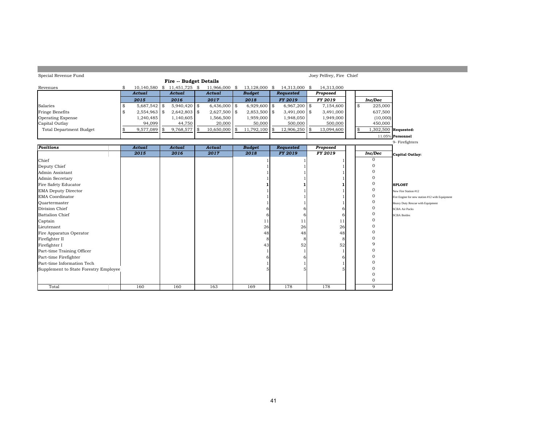| Special Revenue Fund                  |                      |                             |                |                  |                    | Joey Pelfrey, Fire Chief |    |                |                                                |
|---------------------------------------|----------------------|-----------------------------|----------------|------------------|--------------------|--------------------------|----|----------------|------------------------------------------------|
|                                       |                      | Fire -- Budget Details      |                |                  |                    |                          |    |                |                                                |
| Revenues                              | \$                   | 10,140,580 \$ 11,451,725 \$ | 11,966,000 \$  | 13,128,000 \$    | 14,313,000 \$      | 14,313,000               |    |                |                                                |
|                                       | Actual               | Actual                      | Actual         | <b>Budget</b>    | <b>Requested</b>   | Proposed                 |    |                |                                                |
|                                       | 2015                 | 2016                        | 2017           | 2018             | <b>FY 2019</b>     | FY 2019                  |    | Inc/Dec        |                                                |
| Salaries                              | \$<br>5,687,542      | \$<br>$5,940,420$ \$        | $6,436,000$ \$ | 6,929,600        | \$<br>6,967,200 \$ | 7,154,600                | \$ | 225,000        |                                                |
| Fringe Benefits                       | \$<br>$2,554,963$ \$ | $2,642,803$ \$              | $2,627,500$ \$ | $2,853,500$ \$   | 3,491,000 \$       | 3,491,000                |    | 637,500        |                                                |
| <b>Operating Expense</b>              | 1,240,485            | 1,140,605                   | 1,566,500      | 1,959,000        | 1,948,050          | 1,949,000                |    | (10,000)       |                                                |
| Capital Outlay                        | 94,099               | 44,750                      | 20,000         | 50,000           | 500,000            | 500,000                  |    | 450,000        |                                                |
| <b>Total Department Budget</b>        | \$<br>9,577,089      | \$<br>9,768,577             | 10,650,000     | \$<br>11,792,100 | \$<br>12,906,250   | \$<br>13,094,600         | \$ |                | 1,302,500 Requested:                           |
|                                       |                      |                             |                |                  |                    |                          |    |                | 11.05% Personnel                               |
|                                       |                      |                             |                |                  |                    |                          |    |                | 9- Firefighters                                |
| <b>Positions</b>                      | <b>Actual</b>        | <b>Actual</b>               | <b>Actual</b>  | <b>Budget</b>    | <b>Requested</b>   | Proposed                 |    |                |                                                |
|                                       | 2015                 | 2016                        | 2017           | 2018             | <b>FY 2019</b>     | FY 2019                  |    | Inc/Dec        | Capital Outlay:                                |
| Chief                                 |                      |                             |                |                  |                    |                          |    | $\mathbf{O}$   |                                                |
| Deputy Chief                          |                      |                             |                |                  |                    |                          |    | 0              |                                                |
| Admin Assistant                       |                      |                             |                |                  |                    |                          |    | $\Omega$       |                                                |
| Admin Secretary                       |                      |                             |                |                  |                    |                          |    | $\mathbf 0$    |                                                |
| Fire Safety Educator                  |                      |                             |                |                  |                    |                          |    | $\mathbf 0$    | <b>SPLOST</b>                                  |
| <b>EMA Deputy Director</b>            |                      |                             |                |                  |                    |                          |    | $\mathbf{0}$   | New Fire Station #12                           |
| <b>EMA</b> Coordinator                |                      |                             |                |                  |                    |                          |    | $\mathbf{0}$   | Fire Engine for new station #12 with Equipment |
| Ouartermaster                         |                      |                             |                |                  |                    |                          |    | $\mathbf 0$    | Heavy Duty Rescue with Equipment               |
| Division Chief                        |                      |                             |                |                  | h                  | 6                        |    | $\mathbf{0}$   | <b>SCBA Air Packs</b>                          |
| <b>Battalion Chief</b>                |                      |                             |                | 6                | 6                  | 6                        |    | 0              | <b>SCBA Bottles</b>                            |
| Captain                               |                      |                             |                | 11               | 11                 | 11                       |    | $\Omega$       |                                                |
| Lieutenant                            |                      |                             |                | 26               | 26                 | 26                       |    | $\Omega$       |                                                |
| Fire Apparatus Operator               |                      |                             |                | 48               | 48                 | 48                       |    | 0              |                                                |
| Firefighter II                        |                      |                             |                | 8                | 8                  | 8                        |    | $\Omega$       |                                                |
| Firefighter I                         |                      |                             |                | 43               | 52                 | 52                       |    | 9              |                                                |
| Part-time Training Officer            |                      |                             |                |                  |                    |                          |    | $\overline{0}$ |                                                |
| Part-time Firefighter                 |                      |                             |                |                  |                    | h                        |    | $\overline{0}$ |                                                |
| Part-time Information Tech            |                      |                             |                |                  |                    |                          |    | 0              |                                                |
| Supplement to State Forestry Employee |                      |                             |                |                  |                    |                          |    | $\mathbf{0}$   |                                                |
|                                       |                      |                             |                |                  |                    |                          |    | $\mathbf 0$    |                                                |
|                                       |                      |                             |                |                  |                    |                          |    | $\mathbf 0$    |                                                |
| Total                                 | 160                  | 160                         | 163            | 169              | 178                | 178                      |    | 9              |                                                |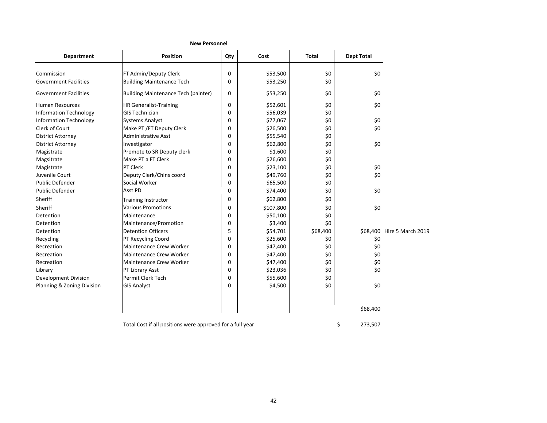| <b>Department</b>             | <b>Position</b>                            | Qty           | Cost      | <b>Total</b> | <b>Dept Total</b> |                            |
|-------------------------------|--------------------------------------------|---------------|-----------|--------------|-------------------|----------------------------|
| Commission                    | FT Admin/Deputy Clerk                      | 0             | \$53,500  | \$0          | \$0               |                            |
| <b>Government Facilities</b>  | <b>Building Maintenance Tech</b>           | 0             | \$53,250  | \$0          |                   |                            |
| <b>Government Facilities</b>  | <b>Building Maintenance Tech (painter)</b> | 0             | \$53,250  | \$0          | \$0               |                            |
| <b>Human Resources</b>        | <b>HR Generalist-Training</b>              | 0             | \$52,601  | \$0          | \$0               |                            |
| <b>Information Technology</b> | <b>GIS Technician</b>                      | 0             | \$56,039  | \$0          |                   |                            |
| <b>Information Technology</b> | <b>Systems Analyst</b>                     | 0             | \$77,067  | \$0          | \$0               |                            |
| Clerk of Court                | Make PT / FT Deputy Clerk                  | 0             | \$26,500  | \$0          | \$0               |                            |
| <b>District Attorney</b>      | <b>Administrative Asst</b>                 | 0             | \$55,540  | \$0          |                   |                            |
| <b>District Attorney</b>      | Investigator                               | 0             | \$62,800  | \$0          | \$0               |                            |
| Magistrate                    | Promote to SR Deputy clerk                 | 0             | \$1,600   | \$0          |                   |                            |
| Magsitrate                    | Make PT a FT Clerk                         | $\Omega$      | \$26,600  | \$0          |                   |                            |
| Magistrate                    | PT Clerk                                   | 0             | \$23,100  | \$0          | \$0               |                            |
| Juvenile Court                | Deputy Clerk/Chins coord                   | 0             | \$49,760  | \$0          | \$0               |                            |
| <b>Public Defender</b>        | Social Worker                              | 0             | \$65,500  | \$0          |                   |                            |
| <b>Public Defender</b>        | Asst PD                                    | 0             | \$74,400  | \$0          | \$0               |                            |
| Sheriff                       | <b>Training Instructor</b>                 | 0             | \$62,800  | \$0          |                   |                            |
| Sheriff                       | <b>Various Promotions</b>                  | 0             | \$107,800 | \$0          | \$0               |                            |
| Detention                     | Maintenance                                | 0             | \$50,100  | \$0          |                   |                            |
| Detention                     | Maintenance/Promotion                      | 0             | \$3,400   | \$0          |                   |                            |
| Detention                     | <b>Detention Officers</b>                  | 5             | \$54,701  | \$68,400     |                   | \$68,400 Hire 5 March 2019 |
| Recycling                     | PT Recycling Coord                         | 0             | \$25,600  | \$0          | \$0               |                            |
| Recreation                    | <b>Maintenance Crew Worker</b>             | 0             | \$47,400  | \$0          | \$0               |                            |
| Recreation                    | <b>Maintenance Crew Worker</b>             | 0             | \$47,400  | \$0          | \$0               |                            |
| Recreation                    | <b>Maintenance Crew Worker</b>             | $\Omega$      | \$47,400  | \$0          | \$0               |                            |
| Library                       | PT Library Asst                            | 0             | \$23,036  | \$0          | \$0               |                            |
| <b>Development Division</b>   | Permit Clerk Tech                          | $\mathbf{0}$  | \$55,600  | \$0          |                   |                            |
| Planning & Zoning Division    | <b>GIS Analyst</b>                         | $\Omega$      | \$4,500   | \$0          | \$0               |                            |
|                               |                                            |               |           |              | \$68,400          |                            |
|                               |                                            | \$<br>273,507 |           |              |                   |                            |

### **New Personnel**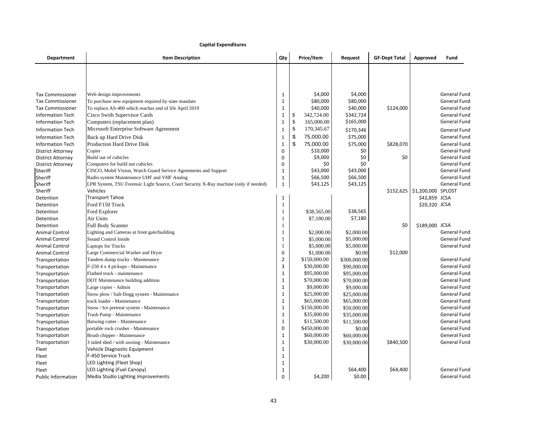### **Capital Expenditures**

| <b>Department</b>         | <b>Item Description</b>                                                              | Qty          | Price/Item           | Request      | <b>GF-Dept Total</b> | Approved                | Fund                |
|---------------------------|--------------------------------------------------------------------------------------|--------------|----------------------|--------------|----------------------|-------------------------|---------------------|
|                           |                                                                                      |              |                      |              |                      |                         |                     |
|                           |                                                                                      |              |                      |              |                      |                         |                     |
|                           |                                                                                      |              |                      |              |                      |                         |                     |
| <b>Tax Commissioner</b>   | Web design improvements                                                              | 1            | \$4,000              | \$4,000      |                      |                         | General Fund        |
| <b>Tax Commissioner</b>   | To purchase new equipment required by state mandate                                  | 1            | \$80,000<br>\$40,000 | \$80,000     | \$124,000            |                         | General Fund        |
| <b>Tax Commissioner</b>   | To replace AS-400 which reaches end of life April 2019                               | $\mathbf{1}$ |                      | \$40,000     |                      |                         | General Fund        |
| <b>Information Tech</b>   | <b>Cisco Swith Supervisor Cards</b>                                                  | 1            | 342,724.00<br>\$     | \$342,724    |                      |                         | General Fund        |
| <b>Information Tech</b>   | Computers (replacement plan)                                                         | $\mathbf 1$  | \$<br>165,000.00     | \$165,000    |                      |                         | General Fund        |
| <b>Information Tech</b>   | Microsoft Enterprise Software Agreement                                              | $\mathbf{1}$ | \$<br>170,345.67     | \$170,346    |                      |                         | General Fund        |
| <b>Information Tech</b>   | Back up Hard Drive Disk                                                              | $\mathbf{1}$ | \$<br>75,000.00      | \$75,000     |                      |                         | General Fund        |
| <b>Information Tech</b>   | <b>Production Hard Drive Disk</b>                                                    | $\mathbf{1}$ | \$<br>75,000.00      | \$75,000     | \$828,070            |                         | General Fund        |
| <b>District Attorney</b>  | Copier                                                                               | $\mathbf 0$  | \$10,000             | \$0          |                      |                         | General Fund        |
| <b>District Attorney</b>  | Build out of cubicles                                                                | 0            | \$9,000              | \$0          | \$0                  |                         | General Fund        |
| <b>District Attorney</b>  | Computers for build out cubicles                                                     | $\mathbf 0$  | \$0                  | \$0          |                      |                         | <b>General Fund</b> |
| Sheriff                   | CISCO, Mobil Vision, Watch Guard Service Agreements and Support                      | $\mathbf{1}$ | \$43,000             | \$43,000     |                      |                         | General Fund        |
| Sheriff                   | Radio system Maintenance UHF and VHF Analog                                          | $\mathbf{1}$ | \$66,500             | \$66,500     |                      |                         | General Fund        |
| Sheriff                   | LPR System, TSU Forensic Light Source, Court Security X-Ray machine (only if needed) | $\mathbf{1}$ | \$43,125             | \$43,125     |                      |                         | General Fund        |
| Sheriff                   | Vehicles                                                                             |              |                      |              |                      | $$152,625$ $$1,200,000$ | SPLOST              |
| Detention                 | <b>Transport Tahoe</b>                                                               | 1            |                      |              |                      | \$42,859 JCSA           |                     |
| Detention                 | Ford F150 Truck                                                                      | $\mathbf{1}$ |                      |              |                      | \$20,320 JCSA           |                     |
| Detention                 | Ford Explorer                                                                        | $\mathbf{1}$ | \$38,565.00          | \$38,565     |                      |                         |                     |
| Detention                 | Air Units                                                                            | $\mathbf{1}$ | \$7,180.00           | \$7,180      |                      |                         |                     |
| Detention                 | <b>Full Body Scanner</b>                                                             | $\mathbf{1}$ |                      |              | \$0                  | \$189,000 JCSA          |                     |
| <b>Animal Control</b>     | Lighting and Cameras at front gate/building                                          | $\mathbf{1}$ | \$2,000.00           | \$2,000.00   |                      |                         | General Fund        |
| <b>Animal Control</b>     | Sound Control Inside                                                                 | $\mathbf{1}$ | \$5,000.00           | \$5,000.00   |                      |                         | General Fund        |
| <b>Animal Control</b>     | <b>Laptops for Trucks</b>                                                            | 1            | \$5,000.00           | \$5,000.00   |                      |                         | General Fund        |
| <b>Animal Control</b>     | Large Commercial Washer and Dryer                                                    | $\mathbf{0}$ | \$1,000.00           | \$0.00       | \$12,000             |                         |                     |
| Transportation            | Tandem dump trucks - Maintenance                                                     | $\mathbf 2$  | \$150,000.00         | \$300,000.00 |                      |                         | General Fund        |
| Transportation            | F-250 4 x 4 pickups - Maintenance                                                    | 3            | \$30,000.00          | \$90,000.00  |                      |                         | General Fund        |
| Transportation            | Flatbed truck - maintenance                                                          | $\mathbf{1}$ | \$95,000.00          | \$95,000.00  |                      |                         | General Fund        |
|                           |                                                                                      | $\mathbf{1}$ | \$70,000.00          |              |                      |                         | General Fund        |
| Transportation            | DOT Maintenance building addition                                                    | $\mathbf 1$  | \$9,000.00           | \$70,000.00  |                      |                         |                     |
| Transportation            | Large copier - Admin                                                                 | $\mathbf{1}$ | \$25,000.00          | \$9,000.00   |                      |                         | <b>General Fund</b> |
| Transportation            | Snow plow / Salt-Dogg system - Maintenance                                           |              |                      | \$25,000.00  |                      |                         | <b>General Fund</b> |
| Transportation            | track loader - Maintenance                                                           | $\mathbf{1}$ | \$65,000.00          | \$65,000.00  |                      |                         | General Fund        |
| Transportation            | Snow / Ice pretreat system - Maintenance                                             | $\mathbf{1}$ | \$150,000.00         | \$50,000.00  |                      |                         | General Fund        |
| Transportation            | Trash Pump - Maintenance                                                             | $\mathbf{1}$ | \$35,000.00          | \$35,000.00  |                      |                         | General Fund        |
| Transportation            | Batwing cutter - Maintenance                                                         | $\mathbf{1}$ | \$11,500.00          | \$11,500.00  |                      |                         | General Fund        |
| Transportation            | portable rock crusher - Maintenance                                                  | $\mathbf 0$  | \$450,000.00         | \$0.00       |                      |                         | General Fund        |
| Transportation            | Brush chipper - Maintenance                                                          | 1            | \$60,000.00          | \$60,000.00  |                      |                         | General Fund        |
| Transportation            | 3 sided shed / with awning - Maintenance                                             | $\mathbf{1}$ | \$30,000.00          | \$30,000.00  | \$840,500            |                         | General Fund        |
| Fleet                     | Vehicle Diagnostic Equipment                                                         | $\mathbf{1}$ |                      |              |                      |                         |                     |
| Fleet                     | F-450 Service Truck                                                                  | $\mathbf{1}$ |                      |              |                      |                         |                     |
| Fleet                     | LED Lighting (Fleet Shop)                                                            | 1            |                      |              |                      |                         |                     |
| Fleet                     | LED Lighting (Fuel Canopy)                                                           | $\mathbf{1}$ |                      | \$64,400     | \$64,400             |                         | <b>General Fund</b> |
| <b>Public Information</b> | Media Studio Lighting Improvements                                                   | $\Omega$     | \$4,200              | \$0.00       |                      |                         | General Fund        |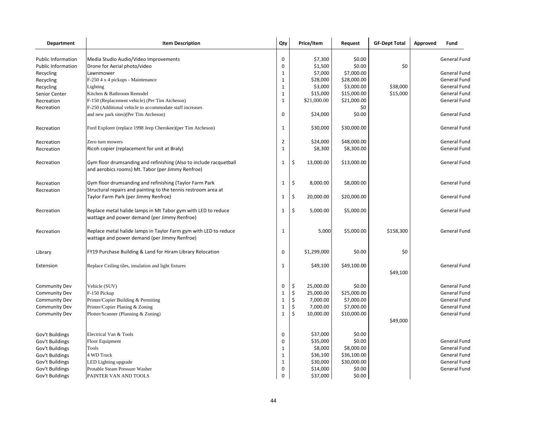| Department                | <b>Item Description</b>                                                                                                   | Qty            | Price/Item      | Request     | <b>GF-Dept Total</b> | Approved | Fund                |
|---------------------------|---------------------------------------------------------------------------------------------------------------------------|----------------|-----------------|-------------|----------------------|----------|---------------------|
| <b>Public Information</b> | Media Studio Audio/Video Improvements                                                                                     | 0              | \$7,300         | \$0.00      |                      |          | General Fund        |
| <b>Public Information</b> | Drone for Aerial photo/video                                                                                              | $\mathbf 0$    | \$1,500         | \$0.00      | \$0                  |          |                     |
| Recycling                 | Lawnmower                                                                                                                 | $\mathbf{1}$   | \$7,000         | \$7,000.00  |                      |          | General Fund        |
| Recycling                 | F-250 4 x 4 pickups - Maintenance                                                                                         | $\mathbf{1}$   | \$28,000        | \$28,000.00 |                      |          | General Fund        |
| Recycling                 | Lighting                                                                                                                  | $\mathbf{1}$   | \$3,000         | \$3,000.00  | \$38,000             |          | General Fund        |
| Senior Center             | Kitchen & Bathroom Remodel                                                                                                | $\mathbf{1}$   | \$15,000        | \$15,000.00 | \$15,000             |          | General Fund        |
| Recreation                | F-150 (Replacement vehicle) (Per Tim Atcheson)                                                                            | $\mathbf{1}$   | \$21,000.00     | \$21,000.00 |                      |          | General Fund        |
| Recreation                | F-250 (Additional vehicle to accommodate staff increases                                                                  |                |                 | \$0         |                      |          |                     |
|                           | and new park sites)(Per Tim Atcheson)                                                                                     | $\mathbf 0$    | \$24,000        | \$0.00      |                      |          | General Fund        |
| Recreation                | Ford Explorer (replace 1998 Jeep Cherokee)(per Tim Atcheson)                                                              | 1              | \$30,000        | \$30,000.00 |                      |          | General Fund        |
| Recreation                | Zero turn mowers                                                                                                          | $\overline{2}$ | \$24,000        | \$48,000.00 |                      |          | General Fund        |
| Recreation                | Ricoh copier (replacement for unit at Braly)                                                                              | $\mathbf{1}$   | \$8,300         | \$8,300.00  |                      |          | General Fund        |
| Recreation                | Gym floor drumsanding and refinishing (Also to include racquetball<br>and aerobics rooms) Mt. Tabor (per Jimmy Renfroe)   | 1              | \$<br>13,000.00 | \$13,000.00 |                      |          | General Fund        |
| Recreation<br>Recreation  | Gym floor drumsanding and refinishing (Taylor Farm Park<br>Structural repairs and painting to the tennis restroom area at | 1              | \$<br>8,000.00  | \$8,000.00  |                      |          | General Fund        |
|                           | Taylor Farm Park (per Jimmy Renfroe)                                                                                      | 1              | \$<br>20,000.00 | \$20,000.00 |                      |          | General Fund        |
| Recreation                | Replace metal halide lamps in Mt Tabor gym with LED to reduce<br>wattage and power demand (per Jimmy Renfroe)             | 1              | \$<br>5,000.00  | \$5,000.00  |                      |          | General Fund        |
| Recreation                | Replace metal halide lamps in Taylor Farm gym with LED to reduce<br>wattage and power demand (per Jimmy Renfroe)          | 1              | 5,000           | \$5,000.00  | \$158,300            |          | General Fund        |
| Library                   | FY19 Purchase Building & Land for Hiram Library Relocation                                                                | 0              | \$1,299,000     | \$0.00      | \$0                  |          |                     |
| Extension                 | Replace Ceiling tiles, insulation and light fixtures                                                                      | 1              | \$49,100        | \$49,100.00 | \$49,100             |          | <b>General Fund</b> |
| <b>Community Dev</b>      | Vehicle (SUV)                                                                                                             | 0              | \$<br>25,000.00 | \$0.00      |                      |          | General Fund        |
| <b>Community Dev</b>      | F-150 Pickup                                                                                                              | $\mathbf 1$    | \$<br>25,000.00 | \$25,000.00 |                      |          | General Fund        |
| <b>Community Dev</b>      | Printer/Copier Building & Permiting                                                                                       | $\mathbf{1}$   | \$<br>7,000.00  | \$7,000.00  |                      |          | General Fund        |
| <b>Community Dev</b>      | Printer/Copier Planing & Zoning                                                                                           | $\mathbf 1$    | \$<br>7,000.00  | \$7,000.00  |                      |          | General Fund        |
| <b>Community Dev</b>      | Plotter/Scanner (Planning & Zoning)                                                                                       | $\mathbf{1}$   | \$<br>10,000.00 | \$10,000.00 |                      |          | General Fund        |
|                           |                                                                                                                           |                |                 |             | \$49,000             |          |                     |
| Gov't Buildings           | Electrical Van & Tools                                                                                                    | $\mathbf 0$    | \$37,000        | \$0.00      |                      |          |                     |
| Gov't Buildings           | Floor Equipment                                                                                                           | $\mathbf 0$    | \$35,000        | \$0.00      |                      |          | General Fund        |
| Gov't Buildings           | Tools                                                                                                                     | $1\,$          | \$8,000         | \$8,000.00  |                      |          | General Fund        |
| Gov't Buildings           | 4 WD Truck                                                                                                                | $\mathbf{1}$   | \$36,100        | \$36,100.00 |                      |          | General Fund        |
| Gov't Buildings           | LED Lighting upgrade                                                                                                      | $\mathbf{1}$   | \$30,000        | \$30,000.00 |                      |          | <b>General Fund</b> |
| Gov't Buildings           | Protable Steam Pressure Washer                                                                                            | $\mathbf 0$    | \$14,000        | \$0.00      |                      |          | General Fund        |
| Gov't Buildings           | PAINTER VAN AND TOOLS                                                                                                     | $\mathbf 0$    | \$37,000        | \$0.00      |                      |          |                     |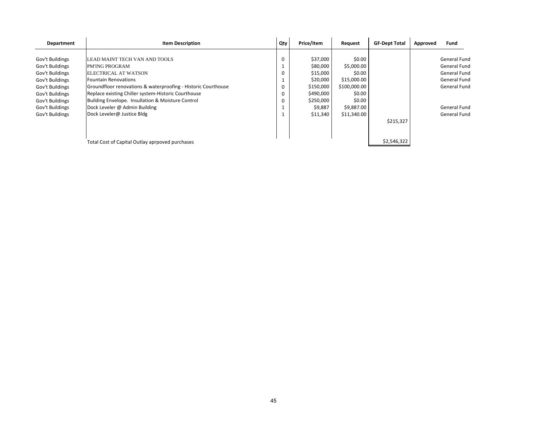| Department      | <b>Item Description</b>                                       | Qty         | Price/Item | Request      | <b>GF-Dept Total</b> | Approved | Fund                |
|-----------------|---------------------------------------------------------------|-------------|------------|--------------|----------------------|----------|---------------------|
|                 |                                                               |             |            |              |                      |          |                     |
| Gov't Buildings | LEAD MAINT TECH VAN AND TOOLS                                 | $\mathbf 0$ | \$37,000   | \$0.00       |                      |          | <b>General Fund</b> |
| Gov't Buildings | PM'ING PROGRAM                                                |             | \$80,000   | \$5,000.00   |                      |          | General Fund        |
| Gov't Buildings | <b>ELECTRICAL AT WATSON</b>                                   | 0           | \$15,000   | \$0.00       |                      |          | <b>General Fund</b> |
| Gov't Buildings | Fountain Renovations                                          |             | \$20,000   | \$15,000.00  |                      |          | <b>General Fund</b> |
| Gov't Buildings | Groundfloor renovations & waterproofing - Historic Courthouse | 0           | \$150,000  | \$100,000.00 |                      |          | <b>General Fund</b> |
| Gov't Buildings | Replace existing Chiller system-Historic Courthouse           | 0           | \$490,000  | \$0.00       |                      |          |                     |
| Gov't Buildings | Building Envelope. Insullation & Moisture Control             |             | \$250,000  | \$0.00       |                      |          |                     |
| Gov't Buildings | Dock Leveler @ Admin Building                                 |             | \$9,887    | \$9,887.00   |                      |          | <b>General Fund</b> |
| Gov't Buildings | Dock Leveler@ Justice Bldg                                    |             | \$11,340   | \$11,340.00  |                      |          | General Fund        |
|                 |                                                               |             |            |              | \$215,327            |          |                     |
|                 |                                                               |             |            |              |                      |          |                     |
|                 | Total Cost of Capital Outlay aprpoved purchases               |             |            |              | \$2,546,322          |          |                     |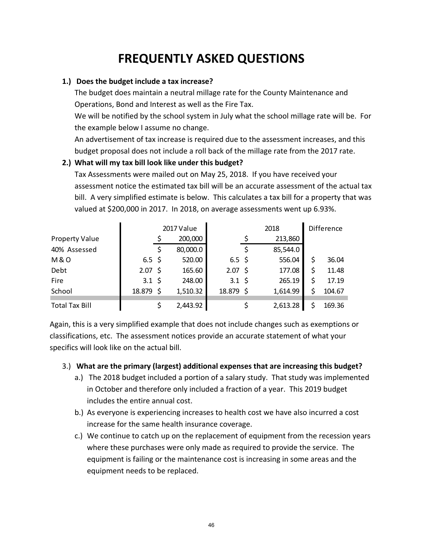# **FREQUENTLY ASKED QUESTIONS**

### **1.) Does the budget include a tax increase?**

The budget does maintain a neutral millage rate for the County Maintenance and Operations, Bond and Interest as well as the Fire Tax.

We will be notified by the school system in July what the school millage rate will be. For the example below I assume no change.

An advertisement of tax increase is required due to the assessment increases, and this budget proposal does not include a roll back of the millage rate from the 2017 rate.

## **2.) What will my tax bill look like under this budget?**

Tax Assessments were mailed out on May 25, 2018. If you have received your assessment notice the estimated tax bill will be an accurate assessment of the actual tax bill. A very simplified estimate is below. This calculates a tax bill for a property that was valued at \$200,000 in 2017. In 2018, on average assessments went up 6.93%.

|                       |                    | 2017 Value |                   | <b>Difference</b> |              |
|-----------------------|--------------------|------------|-------------------|-------------------|--------------|
| <b>Property Value</b> |                    | 200,000    |                   | 213,860           |              |
| 40% Assessed          |                    | 80,000.0   |                   | 85,544.0          |              |
| <b>M&amp;O</b>        | $6.5 \;$ \$        | 520.00     | $6.5 \;$ \$       | 556.04            | \$<br>36.04  |
| Debt                  | $2.07 \text{ }$ \$ | 165.60     | $2.07\frac{1}{2}$ | 177.08            | \$<br>11.48  |
| Fire                  | $3.1 \; \text{S}$  | 248.00     | $3.1 \;$ \$       | 265.19            | \$<br>17.19  |
| School                | 18.879 \$          | 1,510.32   | 18.879 \$         | 1,614.99          | \$<br>104.67 |
| <b>Total Tax Bill</b> |                    | 2,443.92   |                   | 2,613.28          | 169.36       |

Again, this is a very simplified example that does not include changes such as exemptions or classifications, etc. The assessment notices provide an accurate statement of what your specifics will look like on the actual bill.

### 3.) **What are the primary (largest) additional expenses that are increasing this budget?**

- a.) The 2018 budget included a portion of a salary study. That study was implemented in October and therefore only included a fraction of a year. This 2019 budget includes the entire annual cost.
- b.) As everyone is experiencing increases to health cost we have also incurred a cost increase for the same health insurance coverage.
- c.) We continue to catch up on the replacement of equipment from the recession years where these purchases were only made as required to provide the service. The equipment is failing or the maintenance cost is increasing in some areas and the equipment needs to be replaced.